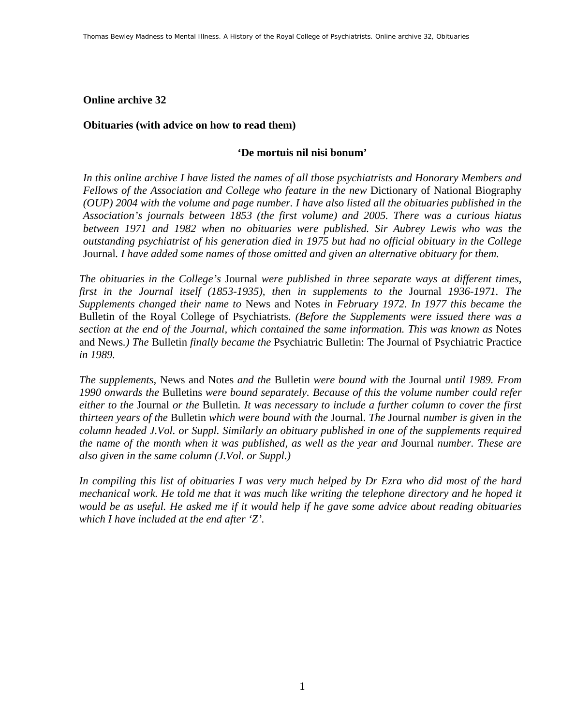#### **Online archive 32**

#### **Obituaries (with advice on how to read them)**

#### **'De mortuis nil nisi bonum'**

*In this online archive I have listed the names of all those psychiatrists and Honorary Members and Fellows of the Association and College who feature in the new* Dictionary of National Biography *(OUP) 2004 with the volume and page number. I have also listed all the obituaries published in the Association's journals between 1853 (the first volume) and 2005. There was a curious hiatus between 1971 and 1982 when no obituaries were published. Sir Aubrey Lewis who was the outstanding psychiatrist of his generation died in 1975 but had no official obituary in the College*  Journal*. I have added some names of those omitted and given an alternative obituary for them.* 

*The obituaries in the College's* Journal *were published in three separate ways at different times, first in the Journal itself (1853-1935), then in supplements to the* Journal *1936-1971. The Supplements changed their name to* News and Notes *in February 1972. In 1977 this became the*  Bulletin of the Royal College of Psychiatrists*. (Before the Supplements were issued there was a section at the end of the Journal, which contained the same information. This was known as* Notes and News*.) The* Bulletin *finally became the* Psychiatric Bulletin: The Journal of Psychiatric Practice *in 1989.* 

*The supplements,* News and Notes *and the* Bulletin *were bound with the* Journal *until 1989. From 1990 onwards the* Bulletins *were bound separately. Because of this the volume number could refer either to the* Journal *or the* Bulletin*. It was necessary to include a further column to cover the first thirteen years of the* Bulletin *which were bound with the* Journal*. The* Journal *number is given in the column headed J.Vol. or Suppl. Similarly an obituary published in one of the supplements required the name of the month when it was published, as well as the year and* Journal *number. These are also given in the same column (J.Vol. or Suppl.)* 

*In compiling this list of obituaries I was very much helped by Dr Ezra who did most of the hard mechanical work. He told me that it was much like writing the telephone directory and he hoped it would be as useful. He asked me if it would help if he gave some advice about reading obituaries which I have included at the end after 'Z'.*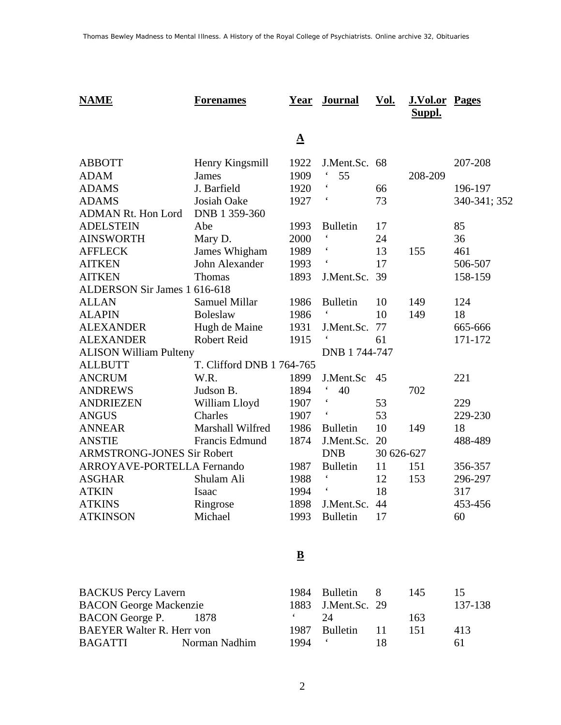| <b>NAME</b>                       | <b>Forenames</b>          | <u>Year</u> | <b>Journal</b>           | <u>Vol.</u> | <b>J.Vol.or Pages</b><br>Suppl. |              |  |
|-----------------------------------|---------------------------|-------------|--------------------------|-------------|---------------------------------|--------------|--|
|                                   |                           | $\Delta$    |                          |             |                                 |              |  |
| <b>ABBOTT</b>                     | Henry Kingsmill           | 1922        | J.Ment.Sc.               | 68          |                                 | 207-208      |  |
| <b>ADAM</b>                       | <b>James</b>              | 1909        | 55                       |             | 208-209                         |              |  |
| <b>ADAMS</b>                      | J. Barfield               | 1920        | $\pmb{\zeta}$            | 66          |                                 | 196-197      |  |
| <b>ADAMS</b>                      | Josiah Oake               | 1927        |                          | 73          |                                 | 340-341; 352 |  |
| <b>ADMAN Rt. Hon Lord</b>         | DNB 1 359-360             |             |                          |             |                                 |              |  |
| <b>ADELSTEIN</b>                  | Abe                       | 1993        | <b>Bulletin</b>          | 17          |                                 | 85           |  |
| <b>AINSWORTH</b>                  | Mary D.                   | 2000        |                          | 24          |                                 | 36           |  |
| <b>AFFLECK</b>                    | James Whigham             | 1989        |                          | 13          | 155                             | 461          |  |
| <b>AITKEN</b>                     | John Alexander            | 1993        |                          | 17          |                                 | 506-507      |  |
| <b>AITKEN</b>                     | Thomas                    | 1893        | J.Ment.Sc.               | 39          |                                 | 158-159      |  |
| ALDERSON Sir James 1 616-618      |                           |             |                          |             |                                 |              |  |
| <b>ALLAN</b>                      | <b>Samuel Millar</b>      | 1986        | <b>Bulletin</b>          | 10          | 149                             | 124          |  |
| <b>ALAPIN</b>                     | <b>Boleslaw</b>           | 1986        |                          | 10          | 149                             | 18           |  |
| <b>ALEXANDER</b>                  | Hugh de Maine             | 1931        | J.Ment.Sc.               | 77          |                                 | 665-666      |  |
| <b>ALEXANDER</b>                  | <b>Robert Reid</b>        | 1915        | $\boldsymbol{\varsigma}$ | 61          |                                 | 171-172      |  |
| <b>ALISON William Pulteny</b>     |                           |             | DNB 1 744-747            |             |                                 |              |  |
| <b>ALLBUTT</b>                    | T. Clifford DNB 1 764-765 |             |                          |             |                                 |              |  |
| <b>ANCRUM</b>                     | W.R.                      | 1899        | J.Ment.Sc                | 45          |                                 | 221          |  |
| <b>ANDREWS</b>                    | Judson B.                 | 1894        | 40                       |             | 702                             |              |  |
| <b>ANDRIEZEN</b>                  | William Lloyd             | 1907        | $\pmb{\zeta}$            | 53          |                                 | 229          |  |
| <b>ANGUS</b>                      | Charles                   | 1907        |                          | 53          |                                 | 229-230      |  |
| <b>ANNEAR</b>                     | Marshall Wilfred          | 1986        | <b>Bulletin</b>          | 10          | 149                             | 18           |  |
| <b>ANSTIE</b>                     | Francis Edmund            | 1874        | J.Ment.Sc.               | 20          |                                 | 488-489      |  |
| <b>ARMSTRONG-JONES Sir Robert</b> |                           |             | <b>DNB</b>               | 30 626-627  |                                 |              |  |
| <b>ARROYAVE-PORTELLA Fernando</b> |                           | 1987        | <b>Bulletin</b>          | 11          | 151                             | 356-357      |  |
| <b>ASGHAR</b>                     | Shulam Ali                | 1988        |                          | 12          | 153                             | 296-297      |  |
| <b>ATKIN</b>                      | Isaac                     | 1994        |                          | 18          |                                 | 317          |  |
| <b>ATKINS</b>                     | Ringrose                  | 1898        | J.Ment.Sc.               | 44          |                                 | 453-456      |  |
| <b>ATKINSON</b>                   | Michael                   | 1993        | <b>Bulletin</b>          | 17          |                                 | 60           |  |

### **B**

| <b>BACKUS Percy Lavern</b>       |               |      | 1984 Bulletin 8    |     | 145 | $\overline{\phantom{a}}$ |
|----------------------------------|---------------|------|--------------------|-----|-----|--------------------------|
| <b>BACON George Mackenzie</b>    |               |      | 1883 J.Ment.Sc. 29 |     |     | 137-138                  |
| BACON George P.                  | -1878         |      | $2\pi$             |     | 163 |                          |
| <b>BAEYER Walter R. Herr von</b> |               |      | 1987 Bulletin      | -11 | 151 | 413                      |
| <b>BAGATTI</b>                   | Norman Nadhim | 1994 |                    | 18  |     | 61                       |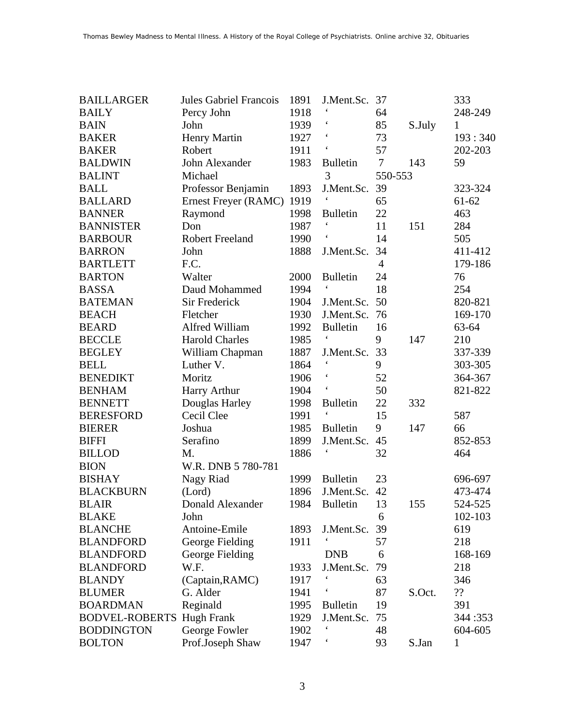| <b>BAILLARGER</b>     | <b>Jules Gabriel Francois</b> | 1891 | J.Ment.Sc.               | 37             |        | 333       |
|-----------------------|-------------------------------|------|--------------------------|----------------|--------|-----------|
| <b>BAILY</b>          | Percy John                    | 1918 |                          | 64             |        | 248-249   |
| <b>BAIN</b>           | John                          | 1939 |                          | 85             | S.July | 1         |
| <b>BAKER</b>          | Henry Martin                  | 1927 | $\boldsymbol{\zeta}$     | 73             |        | 193:340   |
| <b>BAKER</b>          | Robert                        | 1911 | $\boldsymbol{\zeta}$     | 57             |        | 202-203   |
| <b>BALDWIN</b>        | John Alexander                | 1983 | <b>Bulletin</b>          | $\tau$         | 143    | 59        |
| <b>BALINT</b>         | Michael                       |      | 3                        | 550-553        |        |           |
| <b>BALL</b>           | Professor Benjamin            | 1893 | J.Ment.Sc.               | 39             |        | 323-324   |
| <b>BALLARD</b>        | Ernest Freyer (RAMC)          | 1919 |                          | 65             |        | $61 - 62$ |
| <b>BANNER</b>         | Raymond                       | 1998 | <b>Bulletin</b>          | 22             |        | 463       |
| <b>BANNISTER</b>      | Don                           | 1987 | $\boldsymbol{\zeta}$     | 11             | 151    | 284       |
| <b>BARBOUR</b>        | <b>Robert Freeland</b>        | 1990 | $\boldsymbol{\varsigma}$ | 14             |        | 505       |
| <b>BARRON</b>         | John                          | 1888 | J.Ment.Sc.               | 34             |        | 411-412   |
| <b>BARTLETT</b>       | F.C.                          |      |                          | $\overline{4}$ |        | 179-186   |
| <b>BARTON</b>         | Walter                        | 2000 | <b>Bulletin</b>          | 24             |        | 76        |
| <b>BASSA</b>          | Daud Mohammed                 | 1994 | $\boldsymbol{\zeta}$     | 18             |        | 254       |
| <b>BATEMAN</b>        | <b>Sir Frederick</b>          | 1904 | J.Ment.Sc.               | 50             |        | 820-821   |
| <b>BEACH</b>          | Fletcher                      | 1930 | J.Ment.Sc.               | 76             |        | 169-170   |
| <b>BEARD</b>          | Alfred William                | 1992 | <b>Bulletin</b>          | 16             |        | 63-64     |
| <b>BECCLE</b>         | <b>Harold Charles</b>         | 1985 | $\pmb{\zeta}$            | 9              | 147    | 210       |
| <b>BEGLEY</b>         | William Chapman               | 1887 | J.Ment.Sc.               | 33             |        | 337-339   |
| <b>BELL</b>           | Luther V.                     | 1864 |                          | 9              |        | 303-305   |
| <b>BENEDIKT</b>       | Moritz                        | 1906 | $\boldsymbol{\zeta}$     | 52             |        | 364-367   |
| <b>BENHAM</b>         | Harry Arthur                  | 1904 | $\pmb{\zeta}$            | 50             |        | 821-822   |
| <b>BENNETT</b>        | Douglas Harley                | 1998 | <b>Bulletin</b>          | 22             | 332    |           |
| <b>BERESFORD</b>      | Cecil Clee                    | 1991 |                          | 15             |        | 587       |
| <b>BIERER</b>         | Joshua                        | 1985 | <b>Bulletin</b>          | 9              | 147    | 66        |
| <b>BIFFI</b>          | Serafino                      | 1899 | J.Ment.Sc.               | 45             |        | 852-853   |
| <b>BILLOD</b>         | M.                            | 1886 |                          | 32             |        | 464       |
| <b>BION</b>           | W.R. DNB 5 780-781            |      |                          |                |        |           |
| <b>BISHAY</b>         | Nagy Riad                     | 1999 | <b>Bulletin</b>          | 23             |        | 696-697   |
| <b>BLACKBURN</b>      | (Lord)                        | 1896 | J.Ment.Sc.               | 42             |        | 473-474   |
| <b>BLAIR</b>          | Donald Alexander              | 1984 | <b>Bulletin</b>          | 13             | 155    | 524-525   |
| <b>BLAKE</b>          | John                          |      |                          | 6              |        | 102-103   |
| <b>BLANCHE</b>        | Antoine-Emile                 | 1893 | J.Ment.Sc.               | 39             |        | 619       |
| <b>BLANDFORD</b>      | George Fielding               | 1911 |                          | 57             |        | 218       |
| <b>BLANDFORD</b>      | George Fielding               |      | <b>DNB</b>               | 6              |        | 168-169   |
| <b>BLANDFORD</b>      | W.F.                          | 1933 | J.Ment.Sc.               | 79             |        | 218       |
| <b>BLANDY</b>         | (Captain, RAMC)               | 1917 |                          | 63             |        | 346       |
| <b>BLUMER</b>         | G. Alder                      | 1941 |                          | 87             | S.Oct. | 22        |
| <b>BOARDMAN</b>       | Reginald                      | 1995 | <b>Bulletin</b>          | 19             |        | 391       |
| <b>BODVEL-ROBERTS</b> | Hugh Frank                    | 1929 | J.Ment.Sc.               | 75             |        | 344:353   |
| <b>BODDINGTON</b>     | George Fowler                 | 1902 |                          | 48             |        | 604-605   |
| <b>BOLTON</b>         | Prof.Joseph Shaw              | 1947 |                          | 93             | S.Jan  | 1         |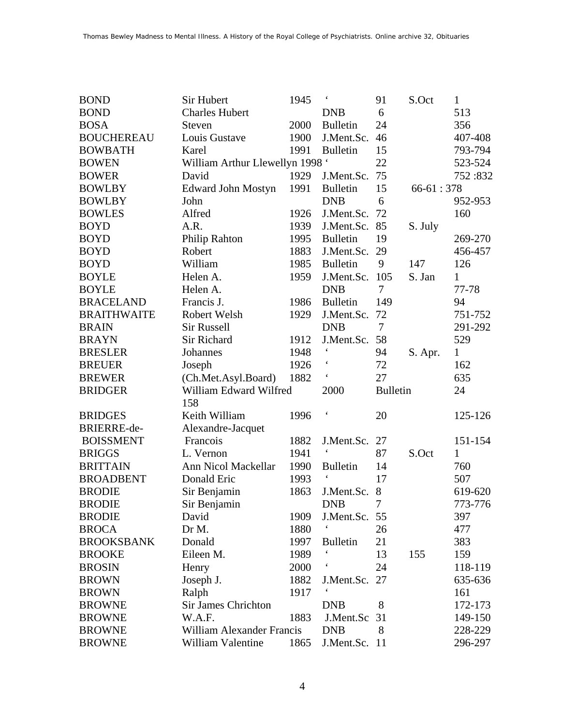| <b>BOND</b>        | Sir Hubert                      | 1945 | $\boldsymbol{\zeta}$     | 91              | S.Oct       | $\mathbf{1}$ |
|--------------------|---------------------------------|------|--------------------------|-----------------|-------------|--------------|
| <b>BOND</b>        | <b>Charles Hubert</b>           |      | <b>DNB</b>               | 6               |             | 513          |
| <b>BOSA</b>        | Steven                          | 2000 | <b>Bulletin</b>          | 24              |             | 356          |
| <b>BOUCHEREAU</b>  | Louis Gustave                   | 1900 | J.Ment.Sc.               | 46              |             | 407-408      |
| <b>BOWBATH</b>     | Karel                           | 1991 | <b>Bulletin</b>          | 15              |             | 793-794      |
| <b>BOWEN</b>       | William Arthur Llewellyn 1998 ' |      |                          | 22              |             | 523-524      |
| <b>BOWER</b>       | David                           | 1929 | J.Ment.Sc.               | 75              |             | 752:832      |
| <b>BOWLBY</b>      | <b>Edward John Mostyn</b>       | 1991 | <b>Bulletin</b>          | 15              | $66-61:378$ |              |
| <b>BOWLBY</b>      | John                            |      | <b>DNB</b>               | 6               |             | 952-953      |
| <b>BOWLES</b>      | Alfred                          | 1926 | J.Ment.Sc.               | 72              |             | 160          |
| <b>BOYD</b>        | A.R.                            | 1939 | J.Ment.Sc.               | 85              | S. July     |              |
| <b>BOYD</b>        | <b>Philip Rahton</b>            | 1995 | <b>Bulletin</b>          | 19              |             | 269-270      |
| <b>BOYD</b>        | Robert                          | 1883 | J.Ment.Sc.               | 29              |             | 456-457      |
| <b>BOYD</b>        | William                         | 1985 | <b>Bulletin</b>          | 9               | 147         | 126          |
| <b>BOYLE</b>       | Helen A.                        | 1959 | J.Ment.Sc.               | 105             | S. Jan      | $\mathbf{1}$ |
| <b>BOYLE</b>       | Helen A.                        |      | <b>DNB</b>               | 7               |             | 77-78        |
| <b>BRACELAND</b>   | Francis J.                      | 1986 | <b>Bulletin</b>          | 149             |             | 94           |
| <b>BRAITHWAITE</b> | Robert Welsh                    | 1929 | J.Ment.Sc.               | 72              |             | 751-752      |
| <b>BRAIN</b>       | <b>Sir Russell</b>              |      | <b>DNB</b>               | 7               |             | 291-292      |
| <b>BRAYN</b>       | Sir Richard                     | 1912 | J.Ment.Sc.               | 58              |             | 529          |
| <b>BRESLER</b>     | Johannes                        | 1948 | $\boldsymbol{\zeta}$     | 94              | S. Apr.     | $\mathbf{1}$ |
| <b>BREUER</b>      | Joseph                          | 1926 | $\boldsymbol{\zeta}$     | 72              |             | 162          |
| <b>BREWER</b>      | (Ch.Met.Asyl.Board)             | 1882 | $\boldsymbol{\varsigma}$ | 27              |             | 635          |
| <b>BRIDGER</b>     | William Edward Wilfred          |      | 2000                     | <b>Bulletin</b> |             | 24           |
|                    | 158                             |      |                          |                 |             |              |
| <b>BRIDGES</b>     | Keith William                   | 1996 | $\pmb{\zeta}$            | 20              |             | 125-126      |
| BRIERRE-de-        | Alexandre-Jacquet               |      |                          |                 |             |              |
| <b>BOISSMENT</b>   | Francois                        | 1882 | J.Ment.Sc.               | 27              |             | 151-154      |
| <b>BRIGGS</b>      | L. Vernon                       | 1941 | $\boldsymbol{\varsigma}$ | 87              | S.Oct       | 1            |
| <b>BRITTAIN</b>    | Ann Nicol Mackellar             | 1990 | <b>Bulletin</b>          | 14              |             | 760          |
| <b>BROADBENT</b>   | Donald Eric                     | 1993 | $\boldsymbol{\varsigma}$ | 17              |             | 507          |
| <b>BRODIE</b>      | Sir Benjamin                    | 1863 | J.Ment.Sc.               | 8               |             | 619-620      |
| <b>BRODIE</b>      | Sir Benjamin                    |      | <b>DNB</b>               | 7               |             | 773-776      |
| <b>BRODIE</b>      | David                           | 1909 | J.Ment.Sc. 55            |                 |             | 397          |
| <b>BROCA</b>       | Dr M.                           | 1880 |                          | 26              |             | 477          |
| <b>BROOKSBANK</b>  | Donald                          | 1997 | <b>Bulletin</b>          | 21              |             | 383          |
| <b>BROOKE</b>      | Eileen M.                       | 1989 |                          | 13              | 155         | 159          |
| <b>BROSIN</b>      |                                 | 2000 |                          | 24              |             | 118-119      |
|                    |                                 |      |                          |                 |             |              |
| <b>BROWN</b>       | Henry                           | 1882 |                          |                 |             | 635-636      |
| <b>BROWN</b>       | Joseph J.                       | 1917 | J.Ment.Sc. 27            |                 |             | 161          |
| <b>BROWNE</b>      | Ralph<br>Sir James Chrichton    |      | <b>DNB</b>               | 8               |             | 172-173      |
| <b>BROWNE</b>      | W.A.F.                          | 1883 | J.Ment.Sc                | 31              |             | 149-150      |
| <b>BROWNE</b>      | William Alexander Francis       |      | <b>DNB</b>               | 8               |             | 228-229      |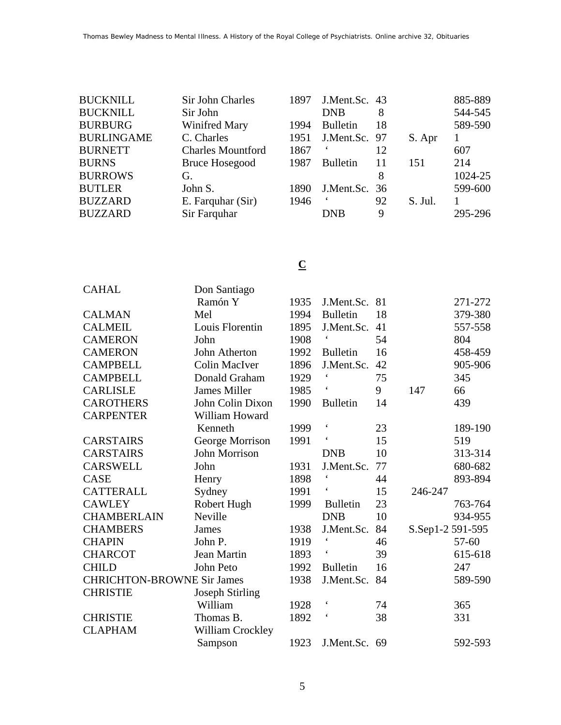| <b>BUCKNILL</b>   | Sir John Charles         | 1897 | J.Ment.Sc. 43   |    |         | 885-889 |
|-------------------|--------------------------|------|-----------------|----|---------|---------|
| <b>BUCKNILL</b>   | Sir John                 |      | <b>DNB</b>      | 8  |         | 544-545 |
| <b>BURBURG</b>    | Winifred Mary            | 1994 | <b>Bulletin</b> | 18 |         | 589-590 |
| <b>BURLINGAME</b> | C. Charles               | 1951 | J.Ment.Sc. 97   |    | S. Apr  |         |
| <b>BURNETT</b>    | <b>Charles Mountford</b> | 1867 |                 | 12 |         | 607     |
| <b>BURNS</b>      | <b>Bruce Hosegood</b>    | 1987 | <b>Bulletin</b> | 11 | 151     | 214     |
| <b>BURROWS</b>    | G.                       |      |                 | 8  |         | 1024-25 |
| <b>BUTLER</b>     | John S.                  | 1890 | J.Ment.Sc. 36   |    |         | 599-600 |
| <b>BUZZARD</b>    | E. Farquhar (Sir)        | 1946 |                 | 92 | S. Jul. |         |
| <b>BUZZARD</b>    | Sir Farquhar             |      | <b>DNB</b>      | 9  |         | 295-296 |

# **C**

| <b>CAHAL</b>                      | Don Santiago           |      |                          |    |                  |           |
|-----------------------------------|------------------------|------|--------------------------|----|------------------|-----------|
|                                   | Ramón Y                | 1935 | J.Ment.Sc.               | 81 |                  | 271-272   |
| <b>CALMAN</b>                     | Mel                    | 1994 | <b>Bulletin</b>          | 18 |                  | 379-380   |
| <b>CALMEIL</b>                    | Louis Florentin        | 1895 | J.Ment.Sc.               | 41 |                  | 557-558   |
| <b>CAMERON</b>                    | John                   | 1908 |                          | 54 |                  | 804       |
| <b>CAMERON</b>                    | John Atherton          | 1992 | <b>Bulletin</b>          | 16 |                  | 458-459   |
| <b>CAMPBELL</b>                   | <b>Colin MacIver</b>   | 1896 | J.Ment.Sc.               | 42 |                  | 905-906   |
| <b>CAMPBELL</b>                   | Donald Graham          | 1929 |                          | 75 |                  | 345       |
| <b>CARLISLE</b>                   | <b>James Miller</b>    | 1985 |                          | 9  | 147              | 66        |
| <b>CAROTHERS</b>                  | John Colin Dixon       | 1990 | <b>Bulletin</b>          | 14 |                  | 439       |
| <b>CARPENTER</b>                  | William Howard         |      |                          |    |                  |           |
|                                   | Kenneth                | 1999 | $\pmb{\zeta}$            | 23 |                  | 189-190   |
| <b>CARSTAIRS</b>                  | George Morrison        | 1991 | $\acute{\phantom{1}}$    | 15 |                  | 519       |
| <b>CARSTAIRS</b>                  | <b>John Morrison</b>   |      | <b>DNB</b>               | 10 |                  | 313-314   |
| <b>CARSWELL</b>                   | John                   | 1931 | J.Ment.Sc.               | 77 |                  | 680-682   |
| <b>CASE</b>                       | Henry                  | 1898 | $\pmb{\zeta}$            | 44 |                  | 893-894   |
| <b>CATTERALL</b>                  | Sydney                 | 1991 | $\pmb{\zeta}$            | 15 | 246-247          |           |
| <b>CAWLEY</b>                     | Robert Hugh            | 1999 | <b>Bulletin</b>          | 23 |                  | 763-764   |
| <b>CHAMBERLAIN</b>                | Neville                |      | <b>DNB</b>               | 10 |                  | 934-955   |
| <b>CHAMBERS</b>                   | James                  | 1938 | J.Ment.Sc.               | 84 | S.Sep1-2 591-595 |           |
| <b>CHAPIN</b>                     | John P.                | 1919 | $\boldsymbol{\zeta}$     | 46 |                  | $57 - 60$ |
| <b>CHARCOT</b>                    | Jean Martin            | 1893 |                          | 39 |                  | 615-618   |
| <b>CHILD</b>                      | John Peto              | 1992 | <b>Bulletin</b>          | 16 |                  | 247       |
| <b>CHRICHTON-BROWNE Sir James</b> |                        | 1938 | J.Ment.Sc.               | 84 |                  | 589-590   |
| <b>CHRISTIE</b>                   | <b>Joseph Stirling</b> |      |                          |    |                  |           |
|                                   | William                | 1928 | $\boldsymbol{\varsigma}$ | 74 |                  | 365       |
| <b>CHRISTIE</b>                   | Thomas B.              | 1892 |                          | 38 |                  | 331       |
| <b>CLAPHAM</b>                    | William Crockley       |      |                          |    |                  |           |
|                                   | Sampson                | 1923 | J.Ment.Sc. 69            |    |                  | 592-593   |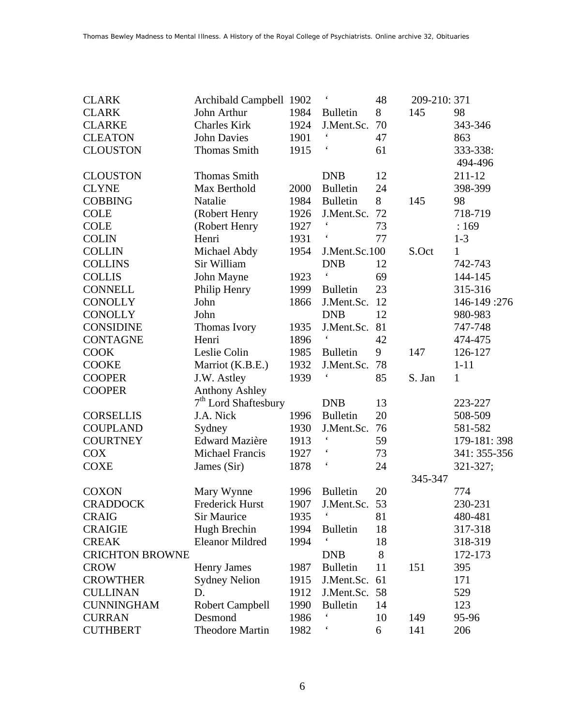| <b>CLARK</b>           | Archibald Campbell 1902 |      |                          | 48 | 209-210: 371 |              |
|------------------------|-------------------------|------|--------------------------|----|--------------|--------------|
| <b>CLARK</b>           | John Arthur             | 1984 | <b>Bulletin</b>          | 8  | 145          | 98           |
| <b>CLARKE</b>          | <b>Charles Kirk</b>     | 1924 | J.Ment.Sc.               | 70 |              | 343-346      |
| <b>CLEATON</b>         | <b>John Davies</b>      | 1901 | $\boldsymbol{\varsigma}$ | 47 |              | 863          |
| <b>CLOUSTON</b>        | <b>Thomas Smith</b>     | 1915 | $\boldsymbol{\zeta}$     | 61 |              | 333-338:     |
|                        |                         |      |                          |    |              | 494-496      |
| <b>CLOUSTON</b>        | <b>Thomas Smith</b>     |      | <b>DNB</b>               | 12 |              | 211-12       |
| <b>CLYNE</b>           | Max Berthold            | 2000 | <b>Bulletin</b>          | 24 |              | 398-399      |
| <b>COBBING</b>         | Natalie                 | 1984 | <b>Bulletin</b>          | 8  | 145          | 98           |
| <b>COLE</b>            | (Robert Henry           | 1926 | J.Ment.Sc.               | 72 |              | 718-719      |
| <b>COLE</b>            | (Robert Henry           | 1927 |                          | 73 |              | :169         |
| <b>COLIN</b>           | Henri                   | 1931 |                          | 77 |              | $1 - 3$      |
| <b>COLLIN</b>          | Michael Abdy            | 1954 | J.Ment.Sc.100            |    | S.Oct        | $\mathbf{1}$ |
| <b>COLLINS</b>         | Sir William             |      | <b>DNB</b>               | 12 |              | 742-743      |
| <b>COLLIS</b>          | John Mayne              | 1923 | $\boldsymbol{\zeta}$     | 69 |              | 144-145      |
| <b>CONNELL</b>         | Philip Henry            | 1999 | <b>Bulletin</b>          | 23 |              | 315-316      |
| <b>CONOLLY</b>         | John                    | 1866 | J.Ment.Sc.               | 12 |              | 146-149:276  |
| <b>CONOLLY</b>         | John                    |      | <b>DNB</b>               | 12 |              | 980-983      |
| <b>CONSIDINE</b>       | Thomas Ivory            | 1935 | J.Ment.Sc.               | 81 |              | 747-748      |
| <b>CONTAGNE</b>        | Henri                   | 1896 | $\boldsymbol{\varsigma}$ | 42 |              | 474-475      |
| <b>COOK</b>            | Leslie Colin            | 1985 | <b>Bulletin</b>          | 9  | 147          | 126-127      |
| <b>COOKE</b>           | Marriot (K.B.E.)        | 1932 | J.Ment.Sc.               | 78 |              | $1 - 11$     |
| <b>COOPER</b>          | J.W. Astley             | 1939 | $\pmb{\zeta}$            | 85 | S. Jan       | $\mathbf{1}$ |
| <b>COOPER</b>          | <b>Anthony Ashley</b>   |      |                          |    |              |              |
|                        | $7th$ Lord Shaftesbury  |      | <b>DNB</b>               | 13 |              | 223-227      |
| <b>CORSELLIS</b>       | J.A. Nick               | 1996 | <b>Bulletin</b>          | 20 |              | 508-509      |
| <b>COUPLAND</b>        | Sydney                  | 1930 | J.Ment.Sc.               | 76 |              | 581-582      |
| <b>COURTNEY</b>        | <b>Edward Mazière</b>   | 1913 |                          | 59 |              | 179-181: 398 |
| <b>COX</b>             | Michael Francis         | 1927 |                          | 73 |              | 341: 355-356 |
| <b>COXE</b>            | James (Sir)             | 1878 |                          | 24 |              | 321-327;     |
|                        |                         |      |                          |    | 345-347      |              |
| <b>COXON</b>           | Mary Wynne              | 1996 | <b>Bulletin</b>          | 20 |              | 774          |
| <b>CRADDOCK</b>        | Frederick Hurst         | 1907 | J.Ment.Sc.               | 53 |              | 230-231      |
| <b>CRAIG</b>           | Sir Maurice             | 1935 |                          | 81 |              | 480-481      |
| <b>CRAIGIE</b>         | Hugh Brechin            | 1994 | <b>Bulletin</b>          | 18 |              | 317-318      |
| <b>CREAK</b>           | <b>Eleanor Mildred</b>  | 1994 |                          | 18 |              | 318-319      |
| <b>CRICHTON BROWNE</b> |                         |      | <b>DNB</b>               | 8  |              | 172-173      |
| <b>CROW</b>            | <b>Henry James</b>      | 1987 | <b>Bulletin</b>          | 11 | 151          | 395          |
| <b>CROWTHER</b>        | <b>Sydney Nelion</b>    | 1915 | J.Ment.Sc.               | 61 |              | 171          |
| <b>CULLINAN</b>        | D.                      | 1912 | J.Ment.Sc.               | 58 |              | 529          |
| <b>CUNNINGHAM</b>      | <b>Robert Campbell</b>  | 1990 | <b>Bulletin</b>          | 14 |              | 123          |
| <b>CURRAN</b>          | Desmond                 | 1986 |                          | 10 | 149          | 95-96        |
| <b>CUTHBERT</b>        | <b>Theodore Martin</b>  | 1982 |                          | 6  | 141          | 206          |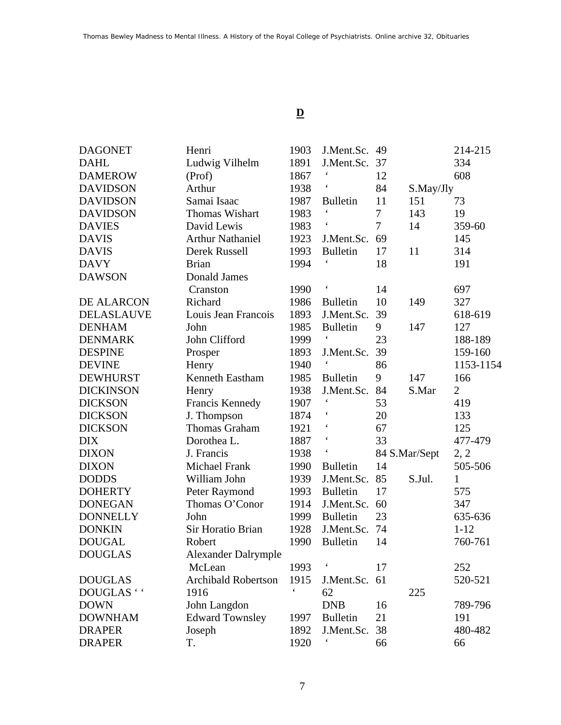## **D**

| <b>DAGONET</b>    | Henri                      | 1903 | J.Ment.Sc.               | 49             |               | 214-215        |
|-------------------|----------------------------|------|--------------------------|----------------|---------------|----------------|
| <b>DAHL</b>       | Ludwig Vilhelm             | 1891 | J.Ment.Sc.               | 37             |               | 334            |
| <b>DAMEROW</b>    | (Prof)                     | 1867 |                          | 12             |               | 608            |
| <b>DAVIDSON</b>   | Arthur                     | 1938 | $\boldsymbol{\zeta}$     | 84             | S.May/Jly     |                |
| <b>DAVIDSON</b>   | Samai Isaac                | 1987 | <b>Bulletin</b>          | 11             | 151           | 73             |
| <b>DAVIDSON</b>   | Thomas Wishart             | 1983 | $\pmb{\zeta}$            | 7              | 143           | 19             |
| <b>DAVIES</b>     | David Lewis                | 1983 |                          | $\overline{7}$ | 14            | 359-60         |
| <b>DAVIS</b>      | <b>Arthur Nathaniel</b>    | 1923 | J.Ment.Sc.               | 69             |               | 145            |
| <b>DAVIS</b>      | Derek Russell              | 1993 | <b>Bulletin</b>          | 17             | 11            | 314            |
| <b>DAVY</b>       | <b>Brian</b>               | 1994 |                          | 18             |               | 191            |
| <b>DAWSON</b>     | <b>Donald James</b>        |      |                          |                |               |                |
|                   | Cranston                   | 1990 | $\boldsymbol{\varsigma}$ | 14             |               | 697            |
| DE ALARCON        | Richard                    | 1986 | <b>Bulletin</b>          | 10             | 149           | 327            |
| <b>DELASLAUVE</b> | Louis Jean Francois        | 1893 | J.Ment.Sc.               | 39             |               | 618-619        |
| <b>DENHAM</b>     | John                       | 1985 | <b>Bulletin</b>          | 9              | 147           | 127            |
| <b>DENMARK</b>    | John Clifford              | 1999 | $\boldsymbol{\varsigma}$ | 23             |               | 188-189        |
| <b>DESPINE</b>    | Prosper                    | 1893 | J.Ment.Sc.               | 39             |               | 159-160        |
| <b>DEVINE</b>     | Henry                      | 1940 | $\boldsymbol{\zeta}$     | 86             |               | 1153-1154      |
| <b>DEWHURST</b>   | Kenneth Eastham            | 1985 | <b>Bulletin</b>          | 9              | 147           | 166            |
| <b>DICKINSON</b>  | Henry                      | 1938 | J.Ment.Sc.               | 84             | S.Mar         | $\overline{2}$ |
| <b>DICKSON</b>    | Francis Kennedy            | 1907 | $\pmb{\zeta}$            | 53             |               | 419            |
| <b>DICKSON</b>    | J. Thompson                | 1874 | $\pmb{\zeta}$            | 20             |               | 133            |
| <b>DICKSON</b>    | <b>Thomas Graham</b>       | 1921 |                          | 67             |               | 125            |
| <b>DIX</b>        | Dorothea L.                | 1887 | $\pmb{\zeta}$            | 33             |               | 477-479        |
| <b>DIXON</b>      | J. Francis                 | 1938 | $\boldsymbol{\zeta}$     |                | 84 S.Mar/Sept | 2, 2           |
| <b>DIXON</b>      | <b>Michael Frank</b>       | 1990 | <b>Bulletin</b>          | 14             |               | 505-506        |
| <b>DODDS</b>      | William John               | 1939 | J.Ment.Sc.               | 85             | S.Jul.        | 1              |
| <b>DOHERTY</b>    | Peter Raymond              | 1993 | <b>Bulletin</b>          | 17             |               | 575            |
| <b>DONEGAN</b>    | Thomas O'Conor             | 1914 | J.Ment.Sc.               | 60             |               | 347            |
| <b>DONNELLY</b>   | John                       | 1999 | <b>Bulletin</b>          | 23             |               | 635-636        |
| <b>DONKIN</b>     | Sir Horatio Brian          | 1928 | J.Ment.Sc.               | 74             |               | $1 - 12$       |
| <b>DOUGAL</b>     | Robert                     | 1990 | <b>Bulletin</b>          | 14             |               | 760-761        |
| <b>DOUGLAS</b>    | <b>Alexander Dalrymple</b> |      |                          |                |               |                |
|                   | McLean                     | 1993 |                          | 17             |               | 252            |
| <b>DOUGLAS</b>    | <b>Archibald Robertson</b> | 1915 | J.Ment.Sc.               | 61             |               | 520-521        |
| DOUGLAS ' '       | 1916                       |      | 62                       |                | 225           |                |
| <b>DOWN</b>       | John Langdon               |      | <b>DNB</b>               | 16             |               | 789-796        |
| <b>DOWNHAM</b>    | <b>Edward Townsley</b>     | 1997 | <b>Bulletin</b>          | 21             |               | 191            |
| <b>DRAPER</b>     | Joseph                     | 1892 | J.Ment.Sc.               | 38             |               | 480-482        |
| <b>DRAPER</b>     | T.                         | 1920 |                          | 66             |               | 66             |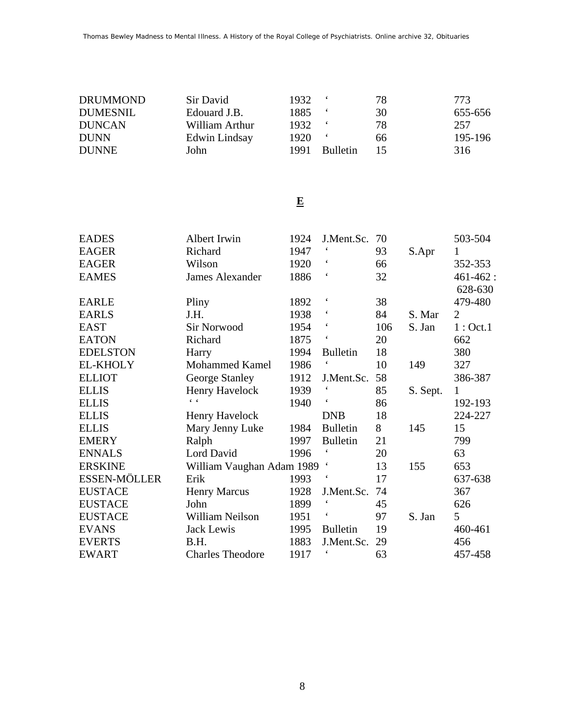| <b>DRUMMOND</b> | Sir David      | 1932  |                 | 78 | 773.    |
|-----------------|----------------|-------|-----------------|----|---------|
| <b>DUMESNIL</b> | Edouard J.B.   | 1885. |                 | 30 | 655-656 |
| <b>DUNCAN</b>   | William Arthur | 1932  |                 | 78 | 257     |
| <b>DUNN</b>     | Edwin Lindsay  | 1920  |                 | 66 | 195-196 |
| <b>DUNNE</b>    | John           | 1991  | <b>Bulletin</b> | 15 | 316     |

#### **E**

| <b>EADES</b>        | Albert Irwin              | 1924 | J.Ment.Sc.               | 70  |          | 503-504        |
|---------------------|---------------------------|------|--------------------------|-----|----------|----------------|
| <b>EAGER</b>        | Richard                   | 1947 | $\pmb{\zeta}$            | 93  | S.Apr    | 1              |
| <b>EAGER</b>        | Wilson                    | 1920 | $\boldsymbol{\varsigma}$ | 66  |          | 352-353        |
| <b>EAMES</b>        | James Alexander           | 1886 | $\boldsymbol{\varsigma}$ | 32  |          | $461 - 462$ :  |
|                     |                           |      |                          |     |          | 628-630        |
| <b>EARLE</b>        | Pliny                     | 1892 | $\boldsymbol{\varsigma}$ | 38  |          | 479-480        |
| <b>EARLS</b>        | J.H.                      | 1938 | $\boldsymbol{\varsigma}$ | 84  | S. Mar   | $\overline{2}$ |
| <b>EAST</b>         | <b>Sir Norwood</b>        | 1954 | $\boldsymbol{\zeta}$     | 106 | S. Jan   | 1:Oct.1        |
| <b>EATON</b>        | Richard                   | 1875 | $\boldsymbol{\varsigma}$ | 20  |          | 662            |
| <b>EDELSTON</b>     | Harry                     | 1994 | <b>Bulletin</b>          | 18  |          | 380            |
| <b>EL-KHOLY</b>     | <b>Mohammed Kamel</b>     | 1986 | $\boldsymbol{\zeta}$     | 10  | 149      | 327            |
| <b>ELLIOT</b>       | George Stanley            | 1912 | J.Ment.Sc.               | 58  |          | 386-387        |
| <b>ELLIS</b>        | Henry Havelock            | 1939 | $\boldsymbol{\zeta}$     | 85  | S. Sept. | 1              |
| <b>ELLIS</b>        | $\epsilon = \epsilon$     | 1940 | $\boldsymbol{\varsigma}$ | 86  |          | 192-193        |
| <b>ELLIS</b>        | Henry Havelock            |      | <b>DNB</b>               | 18  |          | 224-227        |
| <b>ELLIS</b>        | Mary Jenny Luke           | 1984 | <b>Bulletin</b>          | 8   | 145      | 15             |
| <b>EMERY</b>        | Ralph                     | 1997 | <b>Bulletin</b>          | 21  |          | 799            |
| <b>ENNALS</b>       | Lord David                | 1996 |                          | 20  |          | 63             |
| <b>ERSKINE</b>      | William Vaughan Adam 1989 |      | $\boldsymbol{\varsigma}$ | 13  | 155      | 653            |
| <b>ESSEN-MÖLLER</b> | Erik                      | 1993 |                          | 17  |          | 637-638        |
| <b>EUSTACE</b>      | <b>Henry Marcus</b>       | 1928 | J.Ment.Sc.               | 74  |          | 367            |
| <b>EUSTACE</b>      | John                      | 1899 | $\boldsymbol{\zeta}$     | 45  |          | 626            |
| <b>EUSTACE</b>      | William Neilson           | 1951 | $\boldsymbol{\varsigma}$ | 97  | S. Jan   | 5              |
| <b>EVANS</b>        | Jack Lewis                | 1995 | <b>Bulletin</b>          | 19  |          | 460-461        |
| <b>EVERTS</b>       | B.H.                      | 1883 | J.Ment.Sc.               | 29  |          | 456            |
| <b>EWART</b>        | <b>Charles Theodore</b>   | 1917 |                          | 63  |          | 457-458        |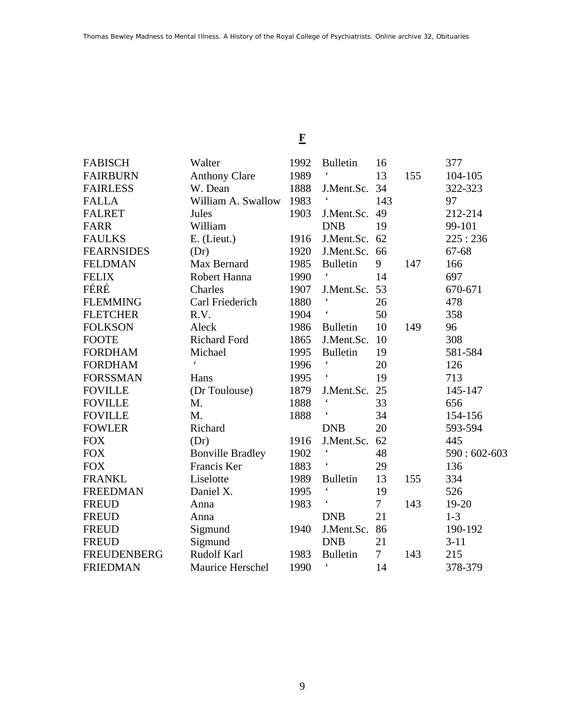# **F**

| <b>FABISCH</b>     | Walter                  | 1992 | <b>Bulletin</b>          | 16     |     | 377           |
|--------------------|-------------------------|------|--------------------------|--------|-----|---------------|
| <b>FAIRBURN</b>    | <b>Anthony Clare</b>    | 1989 | $\boldsymbol{\zeta}$     | 13     | 155 | 104-105       |
| <b>FAIRLESS</b>    | W. Dean                 | 1888 | J.Ment.Sc.               | 34     |     | 322-323       |
| <b>FALLA</b>       | William A. Swallow      | 1983 |                          | 143    |     | 97            |
| <b>FALRET</b>      | Jules                   | 1903 | J.Ment.Sc.               | 49     |     | 212-214       |
| <b>FARR</b>        | William                 |      | <b>DNB</b>               | 19     |     | 99-101        |
| <b>FAULKS</b>      | E. (Lieut.)             | 1916 | J.Ment.Sc.               | 62     |     | 225:236       |
| <b>FEARNSIDES</b>  | (Dr)                    | 1920 | J.Ment.Sc. 66            |        |     | 67-68         |
| <b>FELDMAN</b>     | Max Bernard             | 1985 | <b>Bulletin</b>          | 9      | 147 | 166           |
| <b>FELIX</b>       | Robert Hanna            | 1990 | $\pmb{\zeta}$            | 14     |     | 697           |
| FÉRÉ               | Charles                 | 1907 | J.Ment.Sc.               | 53     |     | 670-671       |
| <b>FLEMMING</b>    | Carl Friederich         | 1880 |                          | 26     |     | 478           |
| <b>FLETCHER</b>    | R.V.                    | 1904 |                          | 50     |     | 358           |
| <b>FOLKSON</b>     | Aleck                   | 1986 | <b>Bulletin</b>          | 10     | 149 | 96            |
| <b>FOOTE</b>       | <b>Richard Ford</b>     | 1865 | J.Ment.Sc.               | 10     |     | 308           |
| <b>FORDHAM</b>     | Michael                 | 1995 | <b>Bulletin</b>          | 19     |     | 581-584       |
| <b>FORDHAM</b>     | $\epsilon$              | 1996 | $\boldsymbol{\varsigma}$ | 20     |     | 126           |
| <b>FORSSMAN</b>    | Hans                    | 1995 |                          | 19     |     | 713           |
| <b>FOVILLE</b>     | (Dr Toulouse)           | 1879 | J.Ment.Sc.               | 25     |     | 145-147       |
| <b>FOVILLE</b>     | M.                      | 1888 | $\pmb{\zeta}$            | 33     |     | 656           |
| <b>FOVILLE</b>     | M.                      | 1888 |                          | 34     |     | 154-156       |
| <b>FOWLER</b>      | Richard                 |      | <b>DNB</b>               | 20     |     | 593-594       |
| <b>FOX</b>         | (Dr)                    | 1916 | J.Ment.Sc.               | 62     |     | 445           |
| <b>FOX</b>         | <b>Bonville Bradley</b> | 1902 | $\boldsymbol{\zeta}$     | 48     |     | $590:602-603$ |
| <b>FOX</b>         | Francis Ker             | 1883 | $\boldsymbol{\zeta}$     | 29     |     | 136           |
| <b>FRANKL</b>      | Liselotte               | 1989 | <b>Bulletin</b>          | 13     | 155 | 334           |
| <b>FREEDMAN</b>    | Daniel X.               | 1995 | $\boldsymbol{\zeta}$     | 19     |     | 526           |
| <b>FREUD</b>       | Anna                    | 1983 | $\boldsymbol{\varsigma}$ | $\tau$ | 143 | 19-20         |
| <b>FREUD</b>       | Anna                    |      | <b>DNB</b>               | 21     |     | $1 - 3$       |
| <b>FREUD</b>       | Sigmund                 | 1940 | J.Ment.Sc.               | 86     |     | 190-192       |
| <b>FREUD</b>       | Sigmund                 |      | <b>DNB</b>               | 21     |     | $3 - 11$      |
| <b>FREUDENBERG</b> | <b>Rudolf Karl</b>      | 1983 | <b>Bulletin</b>          | 7      | 143 | 215           |
| <b>FRIEDMAN</b>    | Maurice Herschel        | 1990 | $\pmb{\zeta}$            | 14     |     | 378-379       |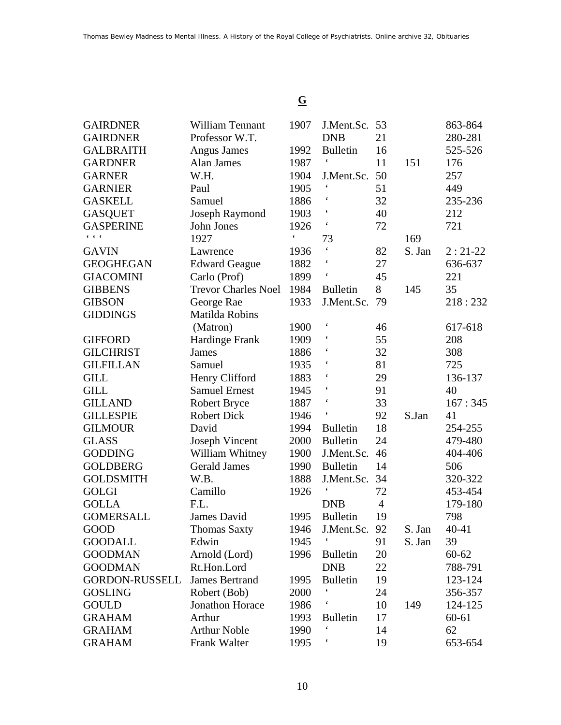### **G**

| <b>GAIRDNER</b>       | <b>William Tennant</b>     | 1907                 | J.Ment.Sc.           | 53             |        | 863-864   |
|-----------------------|----------------------------|----------------------|----------------------|----------------|--------|-----------|
| <b>GAIRDNER</b>       | Professor W.T.             |                      | <b>DNB</b>           | 21             |        | 280-281   |
| <b>GALBRAITH</b>      | <b>Angus James</b>         | 1992                 | <b>Bulletin</b>      | 16             |        | 525-526   |
| <b>GARDNER</b>        | Alan James                 | 1987                 | $\pmb{\zeta}$        | 11             | 151    | 176       |
| <b>GARNER</b>         | W.H.                       | 1904                 | J.Ment.Sc.           | 50             |        | 257       |
| <b>GARNIER</b>        | Paul                       | 1905                 |                      | 51             |        | 449       |
| <b>GASKELL</b>        | Samuel                     | 1886                 |                      | 32             |        | 235-236   |
| <b>GASQUET</b>        | Joseph Raymond             | 1903                 | $\pmb{\zeta}$        | 40             |        | 212       |
| <b>GASPERINE</b>      | John Jones                 | 1926                 |                      | 72             |        | 721       |
| $6 - 6 - 6$           | 1927                       | $\boldsymbol{\zeta}$ | 73                   |                | 169    |           |
| <b>GAVIN</b>          | Lawrence                   | 1936                 |                      | 82             | S. Jan | $2:21-22$ |
| <b>GEOGHEGAN</b>      | <b>Edward Geague</b>       | 1882                 |                      | 27             |        | 636-637   |
| <b>GIACOMINI</b>      | Carlo (Prof)               | 1899                 | $\boldsymbol{\zeta}$ | 45             |        | 221       |
| <b>GIBBENS</b>        | <b>Trevor Charles Noel</b> | 1984                 | <b>Bulletin</b>      | 8              | 145    | 35        |
| <b>GIBSON</b>         | George Rae                 | 1933                 | J.Ment.Sc.           | 79             |        | 218:232   |
| <b>GIDDINGS</b>       | Matilda Robins             |                      |                      |                |        |           |
|                       | (Matron)                   | 1900                 |                      | 46             |        | 617-618   |
| <b>GIFFORD</b>        | <b>Hardinge Frank</b>      | 1909                 | $\boldsymbol{\zeta}$ | 55             |        | 208       |
| <b>GILCHRIST</b>      | <b>James</b>               | 1886                 |                      | 32             |        | 308       |
| <b>GILFILLAN</b>      | Samuel                     | 1935                 |                      | 81             |        | 725       |
| <b>GILL</b>           | Henry Clifford             | 1883                 |                      | 29             |        | 136-137   |
| <b>GILL</b>           | <b>Samuel Ernest</b>       | 1945                 |                      | 91             |        | 40        |
| <b>GILLAND</b>        | <b>Robert Bryce</b>        | 1887                 |                      | 33             |        | 167:345   |
| <b>GILLESPIE</b>      | <b>Robert Dick</b>         | 1946                 | $\pmb{\zeta}$        | 92             | S.Jan  | 41        |
| <b>GILMOUR</b>        | David                      | 1994                 | <b>Bulletin</b>      | 18             |        | 254-255   |
| <b>GLASS</b>          | <b>Joseph Vincent</b>      | 2000                 | <b>Bulletin</b>      | 24             |        | 479-480   |
| <b>GODDING</b>        | William Whitney            | 1900                 | J.Ment.Sc.           | 46             |        | 404-406   |
| <b>GOLDBERG</b>       | <b>Gerald James</b>        | 1990                 | <b>Bulletin</b>      | 14             |        | 506       |
| <b>GOLDSMITH</b>      | W.B.                       | 1888                 | J.Ment.Sc.           | 34             |        | 320-322   |
| <b>GOLGI</b>          | Camillo                    | 1926                 |                      | 72             |        | 453-454   |
| <b>GOLLA</b>          | F.L.                       |                      | <b>DNB</b>           | $\overline{4}$ |        | 179-180   |
| <b>GOMERSALL</b>      | James David                | 1995                 | <b>Bulletin</b>      | 19             |        | 798       |
| GOOD                  | <b>Thomas Saxty</b>        | 1946                 | J.Ment.Sc.           | 92             | S. Jan | $40 - 41$ |
| <b>GOODALL</b>        | Edwin                      | 1945                 |                      | 91             | S. Jan | 39        |
| <b>GOODMAN</b>        | Arnold (Lord)              | 1996                 | <b>Bulletin</b>      | 20             |        | $60 - 62$ |
| <b>GOODMAN</b>        | Rt.Hon.Lord                |                      | <b>DNB</b>           | 22             |        | 788-791   |
| <b>GORDON-RUSSELL</b> | <b>James Bertrand</b>      | 1995                 | <b>Bulletin</b>      | 19             |        | 123-124   |
| <b>GOSLING</b>        | Robert (Bob)               | 2000                 | $\pmb{\zeta}$        | 24             |        | 356-357   |
| <b>GOULD</b>          | Jonathon Horace            | 1986                 |                      | 10             | 149    | 124-125   |
| <b>GRAHAM</b>         | Arthur                     | 1993                 | <b>Bulletin</b>      | 17             |        | $60 - 61$ |
| <b>GRAHAM</b>         | <b>Arthur Noble</b>        | 1990                 |                      | 14             |        | 62        |
| <b>GRAHAM</b>         | Frank Walter               | 1995                 |                      | 19             |        | 653-654   |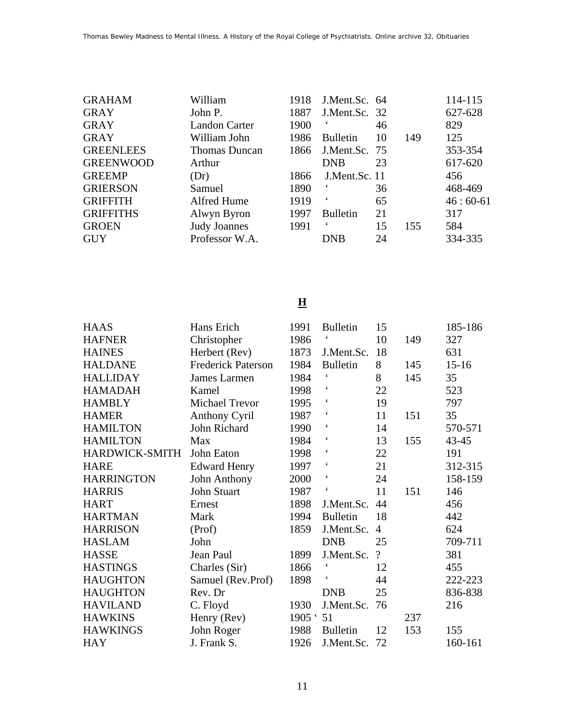| <b>GRAHAM</b>    | William              | 1918 | J.Ment.Sc. 64   |    |     | 114-115    |
|------------------|----------------------|------|-----------------|----|-----|------------|
| <b>GRAY</b>      | John P.              | 1887 | J.Ment.Sc. 32   |    |     | 627-628    |
| <b>GRAY</b>      | <b>Landon Carter</b> | 1900 | 6               | 46 |     | 829        |
| <b>GRAY</b>      | William John         | 1986 | <b>Bulletin</b> | 10 | 149 | 125        |
| <b>GREENLEES</b> | <b>Thomas Duncan</b> | 1866 | J.Ment.Sc. 75   |    |     | 353-354    |
| <b>GREENWOOD</b> | Arthur               |      | <b>DNB</b>      | 23 |     | 617-620    |
| <b>GREEMP</b>    | (Dr)                 | 1866 | J.Ment.Sc. 11   |    |     | 456        |
| <b>GRIERSON</b>  | Samuel               | 1890 |                 | 36 |     | 468-469    |
| <b>GRIFFITH</b>  | Alfred Hume          | 1919 | $\epsilon$      | 65 |     | $46:60-61$ |
| <b>GRIFFITHS</b> | Alwyn Byron          | 1997 | <b>Bulletin</b> | 21 |     | 317        |
| <b>GROEN</b>     | <b>Judy Joannes</b>  | 1991 | 6               | 15 | 155 | 584        |
| <b>GUY</b>       | Professor W.A.       |      | <b>DNB</b>      | 24 |     | 334-335    |

### **H**

| <b>HAAS</b>       | Hans Erich                | 1991      | <b>Bulletin</b>          | 15       |     | 185-186   |
|-------------------|---------------------------|-----------|--------------------------|----------|-----|-----------|
| <b>HAFNER</b>     | Christopher               | 1986      | $\boldsymbol{\zeta}$     | 10       | 149 | 327       |
| <b>HAINES</b>     | Herbert (Rev)             | 1873      | J.Ment.Sc.               | 18       |     | 631       |
| <b>HALDANE</b>    | <b>Frederick Paterson</b> | 1984      | <b>Bulletin</b>          | 8        | 145 | $15 - 16$ |
| <b>HALLIDAY</b>   | James Larmen              | 1984      | $\pmb{\zeta}$            | 8        | 145 | 35        |
| <b>HAMADAH</b>    | Kamel                     | 1998      | $\pmb{\zeta}$            | 22       |     | 523       |
| <b>HAMBLY</b>     | <b>Michael Trevor</b>     | 1995      | $\boldsymbol{\zeta}$     | 19       |     | 797       |
| <b>HAMER</b>      | <b>Anthony Cyril</b>      | 1987      |                          | 11       | 151 | 35        |
| <b>HAMILTON</b>   | John Richard              | 1990      | $\boldsymbol{\zeta}$     | 14       |     | 570-571   |
| <b>HAMILTON</b>   | Max                       | 1984      |                          | 13       | 155 | $43 - 45$ |
| HARDWICK-SMITH    | John Eaton                | 1998      |                          | 22       |     | 191       |
| <b>HARE</b>       | <b>Edward Henry</b>       | 1997      | $\boldsymbol{\varsigma}$ | 21       |     | 312-315   |
| <b>HARRINGTON</b> | John Anthony              | 2000      | $\boldsymbol{\zeta}$     | 24       |     | 158-159   |
| <b>HARRIS</b>     | John Stuart               | 1987      | $\boldsymbol{\zeta}$     | 11       | 151 | 146       |
| <b>HART</b>       | Ernest                    | 1898      | J.Ment.Sc.               | 44       |     | 456       |
| <b>HARTMAN</b>    | Mark                      | 1994      | <b>Bulletin</b>          | 18       |     | 442       |
| <b>HARRISON</b>   | (Prof)                    | 1859      | J.Ment.Sc.               | 4        |     | 624       |
| <b>HASLAM</b>     | John                      |           | <b>DNB</b>               | 25       |     | 709-711   |
| <b>HASSE</b>      | Jean Paul                 | 1899      | J.Ment.Sc.               | $\gamma$ |     | 381       |
| <b>HASTINGS</b>   | Charles (Sir)             | 1866      | $\pmb{\zeta}$            | 12       |     | 455       |
| <b>HAUGHTON</b>   | Samuel (Rev.Prof)         | 1898      |                          | 44       |     | 222-223   |
| <b>HAUGHTON</b>   | Rev. Dr                   |           | <b>DNB</b>               | 25       |     | 836-838   |
| <b>HAVILAND</b>   | C. Floyd                  | 1930      | J.Ment.Sc.               | 76       |     | 216       |
| <b>HAWKINS</b>    | Henry (Rev)               | 1905 : 51 |                          |          | 237 |           |
| <b>HAWKINGS</b>   | John Roger                | 1988      | <b>Bulletin</b>          | 12       | 153 | 155       |
| <b>HAY</b>        | J. Frank S.               | 1926      | J.Ment.Sc.               | 72       |     | 160-161   |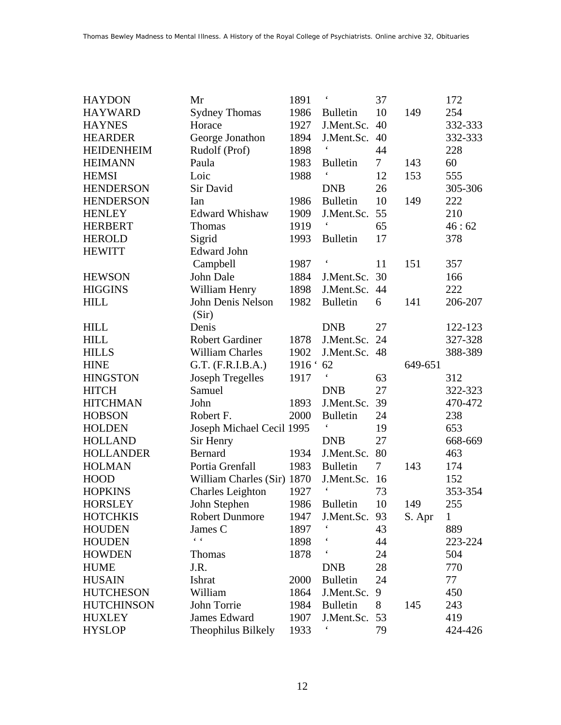| <b>HAYDON</b>     | Mr                         | 1891   | $\boldsymbol{\zeta}$     | 37     |         | 172          |
|-------------------|----------------------------|--------|--------------------------|--------|---------|--------------|
| <b>HAYWARD</b>    | <b>Sydney Thomas</b>       | 1986   | <b>Bulletin</b>          | 10     | 149     | 254          |
| <b>HAYNES</b>     | Horace                     | 1927   | J.Ment.Sc.               | 40     |         | 332-333      |
| <b>HEARDER</b>    | George Jonathon            | 1894   | J.Ment.Sc.               | 40     |         | 332-333      |
| <b>HEIDENHEIM</b> | Rudolf (Prof)              | 1898   |                          | 44     |         | 228          |
| <b>HEIMANN</b>    | Paula                      | 1983   | <b>Bulletin</b>          | $\tau$ | 143     | 60           |
| <b>HEMSI</b>      | Loic                       | 1988   | $\boldsymbol{\zeta}$     | 12     | 153     | 555          |
| <b>HENDERSON</b>  | Sir David                  |        | <b>DNB</b>               | 26     |         | 305-306      |
| <b>HENDERSON</b>  | Ian                        | 1986   | <b>Bulletin</b>          | 10     | 149     | 222          |
| <b>HENLEY</b>     | <b>Edward Whishaw</b>      | 1909   | J.Ment.Sc.               | 55     |         | 210          |
| <b>HERBERT</b>    | <b>Thomas</b>              | 1919   | $\boldsymbol{\zeta}$     | 65     |         | 46:62        |
| <b>HEROLD</b>     | Sigrid                     | 1993   | <b>Bulletin</b>          | 17     |         | 378          |
| <b>HEWITT</b>     | <b>Edward John</b>         |        |                          |        |         |              |
|                   | Campbell                   | 1987   | $\boldsymbol{\varsigma}$ | 11     | 151     | 357          |
| <b>HEWSON</b>     | John Dale                  | 1884   | J.Ment.Sc.               | 30     |         | 166          |
| <b>HIGGINS</b>    | William Henry              | 1898   | J.Ment.Sc.               | 44     |         | 222          |
| <b>HILL</b>       | John Denis Nelson          | 1982   | <b>Bulletin</b>          | 6      | 141     | 206-207      |
|                   | (Sir)                      |        |                          |        |         |              |
| <b>HILL</b>       | Denis                      |        | <b>DNB</b>               | 27     |         | 122-123      |
| <b>HILL</b>       | <b>Robert Gardiner</b>     | 1878   | J.Ment.Sc.               | 24     |         | 327-328      |
| <b>HILLS</b>      | <b>William Charles</b>     | 1902   | J.Ment.Sc.               | 48     |         | 388-389      |
| <b>HINE</b>       | G.T. (F.R.I.B.A.)          | 1916 ' | 62                       |        | 649-651 |              |
| <b>HINGSTON</b>   | <b>Joseph Tregelles</b>    | 1917   | $\boldsymbol{\zeta}$     | 63     |         | 312          |
| <b>HITCH</b>      | Samuel                     |        | <b>DNB</b>               | 27     |         | 322-323      |
| <b>HITCHMAN</b>   | John                       | 1893   | J.Ment.Sc.               | 39     |         | 470-472      |
| <b>HOBSON</b>     | Robert F.                  | 2000   | <b>Bulletin</b>          | 24     |         | 238          |
| <b>HOLDEN</b>     | Joseph Michael Cecil 1995  |        | $\pmb{\zeta}$            | 19     |         | 653          |
| <b>HOLLAND</b>    | Sir Henry                  |        | <b>DNB</b>               | 27     |         | 668-669      |
| <b>HOLLANDER</b>  | <b>Bernard</b>             | 1934   | J.Ment.Sc.               | 80     |         | 463          |
| <b>HOLMAN</b>     | Portia Grenfall            | 1983   | <b>Bulletin</b>          | $\tau$ | 143     | 174          |
| <b>HOOD</b>       | William Charles (Sir) 1870 |        | J.Ment.Sc.               | 16     |         | 152          |
| <b>HOPKINS</b>    | <b>Charles Leighton</b>    | 1927   | $\boldsymbol{\zeta}$     | 73     |         | 353-354      |
| <b>HORSLEY</b>    | John Stephen               | 1986   | Bulletin                 | 10     | 149     | 255          |
| <b>HOTCHKIS</b>   | <b>Robert Dunmore</b>      | 1947   | J.Ment.Sc.               | 93     | S. Apr  | $\mathbf{1}$ |
| <b>HOUDEN</b>     | James C                    | 1897   |                          | 43     |         | 889          |
| <b>HOUDEN</b>     | $6 - 6$                    | 1898   |                          | 44     |         | 223-224      |
| <b>HOWDEN</b>     | <b>Thomas</b>              | 1878   |                          | 24     |         | 504          |
| <b>HUME</b>       | J.R.                       |        | <b>DNB</b>               | 28     |         | 770          |
| <b>HUSAIN</b>     | Ishrat                     | 2000   | <b>Bulletin</b>          | 24     |         | 77           |
| <b>HUTCHESON</b>  | William                    | 1864   | J.Ment.Sc.               | 9      |         | 450          |
| <b>HUTCHINSON</b> | John Torrie                | 1984   | <b>Bulletin</b>          | 8      | 145     | 243          |
| <b>HUXLEY</b>     | James Edward               | 1907   | J.Ment.Sc.               | 53     |         | 419          |
| <b>HYSLOP</b>     | Theophilus Bilkely         | 1933   |                          | 79     |         | 424-426      |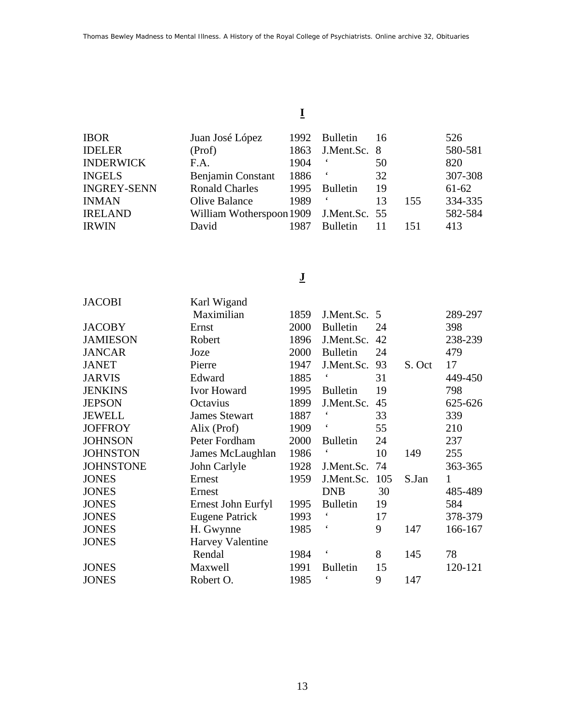# **I**

| IBOR               | Juan José López                        |      | 1992 Bulletin     | 16 |     | 526     |
|--------------------|----------------------------------------|------|-------------------|----|-----|---------|
| <b>IDELER</b>      | (Prof)                                 |      | 1863 J.Ment.Sc. 8 |    |     | 580-581 |
| <b>INDERWICK</b>   | F.A.                                   | 1904 |                   | 50 |     | 820     |
| INGELS             | Benjamin Constant                      | 1886 |                   | 32 |     | 307-308 |
| <b>INGREY-SENN</b> | <b>Ronald Charles</b>                  | 1995 | <b>Bulletin</b>   | 19 |     | $61-62$ |
| INMAN              | Olive Balance                          | 1989 |                   | 13 | 155 | 334-335 |
| IRELAND            | William Wotherspoon 1909 J.Ment.Sc. 55 |      |                   |    |     | 582-584 |
| IRWIN              | David                                  | 1987 | <b>Bulletin</b>   | 11 | 151 | 413     |
|                    |                                        |      |                   |    |     |         |

### **J**

| <b>JACOBI</b>    | Karl Wigand           |      |                          |     |        |         |
|------------------|-----------------------|------|--------------------------|-----|--------|---------|
|                  | Maximilian            | 1859 | J.Ment.Sc.               | 5   |        | 289-297 |
| <b>JACOBY</b>    | Ernst                 | 2000 | <b>Bulletin</b>          | 24  |        | 398     |
| <b>JAMIESON</b>  | Robert                | 1896 | J.Ment.Sc.               | 42  |        | 238-239 |
| <b>JANCAR</b>    | Joze                  | 2000 | <b>Bulletin</b>          | 24  |        | 479     |
| <b>JANET</b>     | Pierre                | 1947 | J.Ment.Sc.               | 93  | S. Oct | 17      |
| <b>JARVIS</b>    | Edward                | 1885 |                          | 31  |        | 449-450 |
| <b>JENKINS</b>   | Ivor Howard           | 1995 | <b>Bulletin</b>          | 19  |        | 798     |
| <b>JEPSON</b>    | Octavius              | 1899 | J.Ment.Sc.               | 45  |        | 625-626 |
| <b>JEWELL</b>    | <b>James Stewart</b>  | 1887 | $\epsilon$               | 33  |        | 339     |
| <b>JOFFROY</b>   | Alix (Prof)           | 1909 | $\epsilon$               | 55  |        | 210     |
| <b>JOHNSON</b>   | Peter Fordham         | 2000 | <b>Bulletin</b>          | 24  |        | 237     |
| <b>JOHNSTON</b>  | James McLaughlan      | 1986 | $\boldsymbol{\varsigma}$ | 10  | 149    | 255     |
| <b>JOHNSTONE</b> | John Carlyle          | 1928 | J.Ment.Sc.               | 74  |        | 363-365 |
| <b>JONES</b>     | Ernest                | 1959 | J.Ment.Sc.               | 105 | S.Jan  | 1       |
| <b>JONES</b>     | Ernest                |      | <b>DNB</b>               | 30  |        | 485-489 |
| <b>JONES</b>     | Ernest John Eurfyl    | 1995 | <b>Bulletin</b>          | 19  |        | 584     |
| <b>JONES</b>     | <b>Eugene Patrick</b> | 1993 | $\boldsymbol{\varsigma}$ | 17  |        | 378-379 |
| <b>JONES</b>     | H. Gwynne             | 1985 | $\boldsymbol{\zeta}$     | 9   | 147    | 166-167 |
| <b>JONES</b>     | Harvey Valentine      |      |                          |     |        |         |
|                  | Rendal                | 1984 | $\boldsymbol{\varsigma}$ | 8   | 145    | 78      |
| <b>JONES</b>     | Maxwell               | 1991 | <b>Bulletin</b>          | 15  |        | 120-121 |
| <b>JONES</b>     | Robert O.             | 1985 | $\epsilon$               | 9   | 147    |         |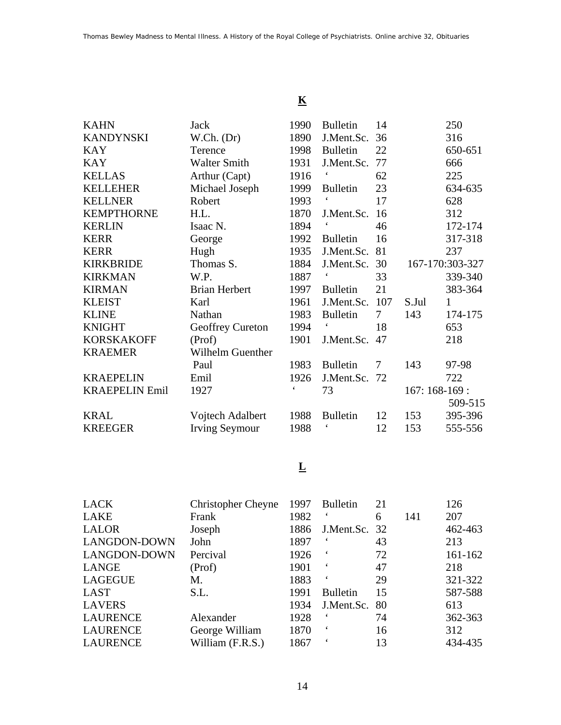## **K**

| <b>KAHN</b>           | Jack                  | 1990          | <b>Bulletin</b> | 14     |                | 250             |
|-----------------------|-----------------------|---------------|-----------------|--------|----------------|-----------------|
| <b>KANDYNSKI</b>      | W.Ch. (Dr)            | 1890          | J.Ment.Sc.      | 36     |                | 316             |
| <b>KAY</b>            | Terence               | 1998          | <b>Bulletin</b> | 22     |                | 650-651         |
| <b>KAY</b>            | <b>Walter Smith</b>   | 1931          | J.Ment.Sc.      | 77     |                | 666             |
| <b>KELLAS</b>         | Arthur (Capt)         | 1916          |                 | 62     |                | 225             |
| <b>KELLEHER</b>       | Michael Joseph        | 1999          | <b>Bulletin</b> | 23     |                | 634-635         |
| <b>KELLNER</b>        | Robert                | 1993          |                 | 17     |                | 628             |
| <b>KEMPTHORNE</b>     | H.L.                  | 1870          | J.Ment.Sc.      | 16     |                | 312             |
| <b>KERLIN</b>         | Isaac N.              | 1894          |                 | 46     |                | 172-174         |
| <b>KERR</b>           | George                | 1992          | <b>Bulletin</b> | 16     |                | 317-318         |
| <b>KERR</b>           | Hugh                  | 1935          | J.Ment.Sc.      | 81     |                | 237             |
| <b>KIRKBRIDE</b>      | Thomas S.             | 1884          | J.Ment.Sc.      | 30     |                | 167-170:303-327 |
| <b>KIRKMAN</b>        | W.P.                  | 1887          |                 | 33     |                | 339-340         |
| <b>KIRMAN</b>         | <b>Brian Herbert</b>  | 1997          | <b>Bulletin</b> | 21     |                | 383-364         |
| <b>KLEIST</b>         | Karl                  | 1961          | J.Ment.Sc.      | 107    | S.Jul          | 1               |
| <b>KLINE</b>          | Nathan                | 1983          | <b>Bulletin</b> | 7      | 143            | 174-175         |
| <b>KNIGHT</b>         | Geoffrey Cureton      | 1994          |                 | 18     |                | 653             |
| <b>KORSKAKOFF</b>     | (Prof)                | 1901          | J.Ment.Sc.      | 47     |                | 218             |
| <b>KRAEMER</b>        | Wilhelm Guenther      |               |                 |        |                |                 |
|                       | Paul                  | 1983          | <b>Bulletin</b> | $\tau$ | 143            | 97-98           |
| <b>KRAEPELIN</b>      | Emil                  | 1926          | J.Ment.Sc. 72   |        |                | 722             |
| <b>KRAEPELIN Emil</b> | 1927                  | $\pmb{\zeta}$ | 73              |        | $167:168-169:$ |                 |
|                       |                       |               |                 |        |                | 509-515         |
| <b>KRAL</b>           | Vojtech Adalbert      | 1988          | <b>Bulletin</b> | 12     | 153            | 395-396         |
| <b>KREEGER</b>        | <b>Irving Seymour</b> | 1988          | $\pmb{\zeta}$   | 12     | 153            | 555-556         |

## **L**

| <b>LACK</b>         | <b>Christopher Cheyne</b> | 1997 | <b>Bulletin</b> | 21 |     | 126         |
|---------------------|---------------------------|------|-----------------|----|-----|-------------|
| LAKE                | Frank                     | 1982 |                 | 6  | 141 | 207         |
| <b>LALOR</b>        | Joseph                    | 1886 | J.Ment.Sc. 32   |    |     | 462-463     |
| LANGDON-DOWN        | John                      | 1897 |                 | 43 |     | 213         |
| <b>LANGDON-DOWN</b> | Percival                  | 1926 |                 | 72 |     | $161 - 162$ |
| LANGE               | (Prof)                    | 1901 | $\epsilon$      | 47 |     | 218         |
| <b>LAGEGUE</b>      | М.                        | 1883 | $\epsilon$      | 29 |     | 321-322     |
| LAST                | S.L.                      | 1991 | <b>Bulletin</b> | 15 |     | 587-588     |
| <b>LAVERS</b>       |                           | 1934 | J.Ment.Sc.      | 80 |     | 613         |
| <b>LAURENCE</b>     | Alexander                 | 1928 | 6               | 74 |     | 362-363     |
| <b>LAURENCE</b>     | George William            | 1870 |                 | 16 |     | 312         |
| <b>LAURENCE</b>     | William (F.R.S.)          | 1867 |                 | 13 |     | 434-435     |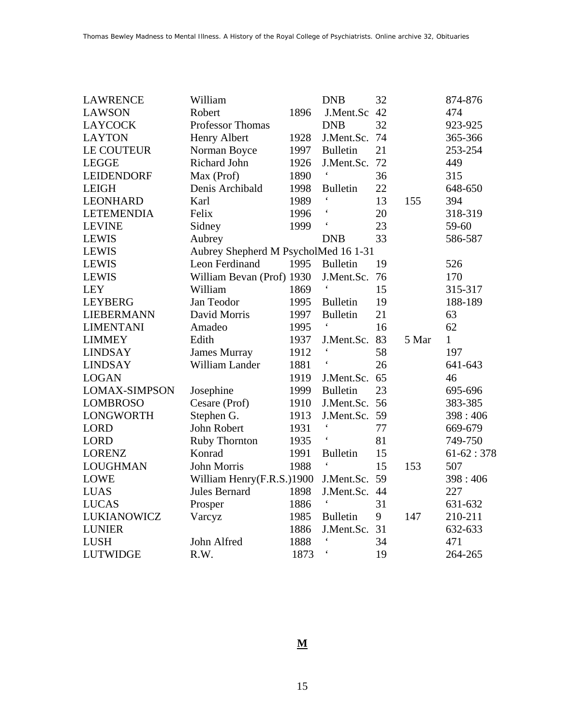| <b>LAWRENCE</b>      | William                              |      | <b>DNB</b>               | 32 |       | 874-876      |
|----------------------|--------------------------------------|------|--------------------------|----|-------|--------------|
| <b>LAWSON</b>        | Robert                               | 1896 | J.Ment.Sc                | 42 |       | 474          |
| <b>LAYCOCK</b>       | <b>Professor Thomas</b>              |      | <b>DNB</b>               | 32 |       | 923-925      |
| <b>LAYTON</b>        | Henry Albert                         | 1928 | J.Ment.Sc.               | 74 |       | 365-366      |
| <b>LE COUTEUR</b>    | Norman Boyce                         | 1997 | <b>Bulletin</b>          | 21 |       | 253-254      |
| <b>LEGGE</b>         | Richard John                         | 1926 | J.Ment.Sc.               | 72 |       | 449          |
| <b>LEIDENDORF</b>    | Max (Prof)                           | 1890 | $\boldsymbol{\varsigma}$ | 36 |       | 315          |
| <b>LEIGH</b>         | Denis Archibald                      | 1998 | <b>Bulletin</b>          | 22 |       | 648-650      |
| <b>LEONHARD</b>      | Karl                                 | 1989 | $\pmb{\zeta}$            | 13 | 155   | 394          |
| <b>LETEMENDIA</b>    | Felix                                | 1996 | $\pmb{\zeta}$            | 20 |       | 318-319      |
| <b>LEVINE</b>        | Sidney                               | 1999 | $\pmb{\zeta}$            | 23 |       | 59-60        |
| <b>LEWIS</b>         | Aubrey                               |      | <b>DNB</b>               | 33 |       | 586-587      |
| <b>LEWIS</b>         | Aubrey Shepherd M PsycholMed 16 1-31 |      |                          |    |       |              |
| <b>LEWIS</b>         | Leon Ferdinand                       | 1995 | <b>Bulletin</b>          | 19 |       | 526          |
| <b>LEWIS</b>         | William Bevan (Prof) 1930            |      | J.Ment.Sc.               | 76 |       | 170          |
| <b>LEY</b>           | William                              | 1869 |                          | 15 |       | 315-317      |
| <b>LEYBERG</b>       | Jan Teodor                           | 1995 | <b>Bulletin</b>          | 19 |       | 188-189      |
| <b>LIEBERMANN</b>    | David Morris                         | 1997 | <b>Bulletin</b>          | 21 |       | 63           |
| <b>LIMENTANI</b>     | Amadeo                               | 1995 |                          | 16 |       | 62           |
| <b>LIMMEY</b>        | Edith                                | 1937 | J.Ment.Sc.               | 83 | 5 Mar | $\mathbf{1}$ |
| <b>LINDSAY</b>       | <b>James Murray</b>                  | 1912 |                          | 58 |       | 197          |
| <b>LINDSAY</b>       | William Lander                       | 1881 | $\pmb{\zeta}$            | 26 |       | 641-643      |
| <b>LOGAN</b>         |                                      | 1919 | J.Ment.Sc.               | 65 |       | 46           |
| <b>LOMAX-SIMPSON</b> | Josephine                            | 1999 | <b>Bulletin</b>          | 23 |       | 695-696      |
| <b>LOMBROSO</b>      | Cesare (Prof)                        | 1910 | J.Ment.Sc.               | 56 |       | 383-385      |
| <b>LONGWORTH</b>     | Stephen G.                           | 1913 | J.Ment.Sc.               | 59 |       | 398:406      |
| <b>LORD</b>          | John Robert                          | 1931 |                          | 77 |       | 669-679      |
| <b>LORD</b>          | <b>Ruby Thornton</b>                 | 1935 | $\pmb{\zeta}$            | 81 |       | 749-750      |
| <b>LORENZ</b>        | Konrad                               | 1991 | <b>Bulletin</b>          | 15 |       | $61-62:378$  |
| <b>LOUGHMAN</b>      | John Morris                          | 1988 | $\pmb{\zeta}$            | 15 | 153   | 507          |
| <b>LOWE</b>          | William Henry(F.R.S.)1900            |      | J.Ment.Sc.               | 59 |       | 398:406      |
| <b>LUAS</b>          | Jules Bernard                        | 1898 | J.Ment.Sc.               | 44 |       | 227          |
| <b>LUCAS</b>         | Prosper                              | 1886 | $\pmb{\zeta}$            | 31 |       | 631-632      |
| <b>LUKIANOWICZ</b>   | Varcyz                               | 1985 | <b>Bulletin</b>          | 9  | 147   | 210-211      |
| <b>LUNIER</b>        |                                      | 1886 | J.Ment.Sc.               | 31 |       | 632-633      |
| <b>LUSH</b>          | John Alfred                          | 1888 | $\boldsymbol{\zeta}$     | 34 |       | 471          |
| <b>LUTWIDGE</b>      | R.W.                                 | 1873 | $\pmb{\zeta}$            | 19 |       | 264-265      |

#### **M**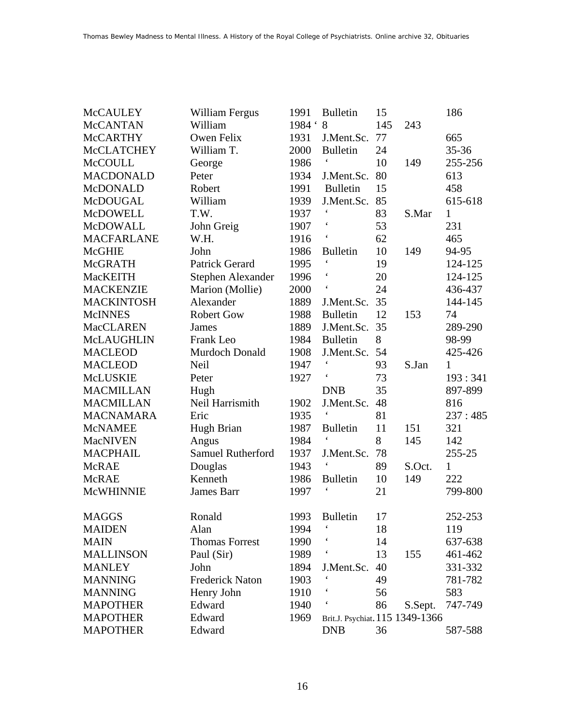| <b>McCAULEY</b>   | William Fergus           | 1991     | <b>Bulletin</b>                 | 15  |         | 186          |
|-------------------|--------------------------|----------|---------------------------------|-----|---------|--------------|
| <b>McCANTAN</b>   | William                  | 1984 ' 8 |                                 | 145 | 243     |              |
| <b>McCARTHY</b>   | Owen Felix               | 1931     | J.Ment.Sc.                      | 77  |         | 665          |
| <b>McCLATCHEY</b> | William T.               | 2000     | <b>Bulletin</b>                 | 24  |         | $35 - 36$    |
| <b>McCOULL</b>    | George                   | 1986     |                                 | 10  | 149     | 255-256      |
| <b>MACDONALD</b>  | Peter                    | 1934     | J.Ment.Sc.                      | 80  |         | 613          |
| McDONALD          | Robert                   | 1991     | <b>Bulletin</b>                 | 15  |         | 458          |
| McDOUGAL          | William                  | 1939     | J.Ment.Sc.                      | 85  |         | 615-618      |
| <b>McDOWELL</b>   | T.W.                     | 1937     |                                 | 83  | S.Mar   | $\mathbf{1}$ |
| McDOWALL          | John Greig               | 1907     | $\epsilon$                      | 53  |         | 231          |
| <b>MACFARLANE</b> | W.H.                     | 1916     | $\boldsymbol{\zeta}$            | 62  |         | 465          |
| <b>McGHIE</b>     | John                     | 1986     | <b>Bulletin</b>                 | 10  | 149     | 94-95        |
| <b>McGRATH</b>    | <b>Patrick Gerard</b>    | 1995     | $\pmb{\zeta}$                   | 19  |         | 124-125      |
| <b>MacKEITH</b>   | Stephen Alexander        | 1996     | $\pmb{\zeta}$                   | 20  |         | 124-125      |
| <b>MACKENZIE</b>  | Marion (Mollie)          | 2000     | $\boldsymbol{\zeta}$            | 24  |         | 436-437      |
| <b>MACKINTOSH</b> | Alexander                | 1889     | J.Ment.Sc.                      | 35  |         | 144-145      |
| <b>McINNES</b>    | <b>Robert Gow</b>        | 1988     | <b>Bulletin</b>                 | 12  | 153     | 74           |
| <b>MacCLAREN</b>  | James                    | 1889     | J.Ment.Sc.                      | 35  |         | 289-290      |
| <b>McLAUGHLIN</b> | Frank Leo                | 1984     | <b>Bulletin</b>                 | 8   |         | 98-99        |
| <b>MACLEOD</b>    | Murdoch Donald           | 1908     | J.Ment.Sc.                      | 54  |         | 425-426      |
| <b>MACLEOD</b>    | Neil                     | 1947     | $\pmb{\zeta}$                   | 93  | S.Jan   | 1            |
| McLUSKIE          | Peter                    | 1927     |                                 | 73  |         | 193:341      |
| <b>MACMILLAN</b>  | Hugh                     |          | <b>DNB</b>                      | 35  |         | 897-899      |
| <b>MACMILLAN</b>  | Neil Harrismith          | 1902     | J.Ment.Sc.                      | 48  |         | 816          |
| <b>MACNAMARA</b>  | Eric                     | 1935     | $\pmb{\zeta}$                   | 81  |         | 237:485      |
| <b>McNAMEE</b>    | Hugh Brian               | 1987     | <b>Bulletin</b>                 | 11  | 151     | 321          |
| <b>MacNIVEN</b>   | Angus                    | 1984     | $\pmb{\zeta}$                   | 8   | 145     | 142          |
| <b>MACPHAIL</b>   | <b>Samuel Rutherford</b> | 1937     | J.Ment.Sc.                      | 78  |         | 255-25       |
| <b>McRAE</b>      | Douglas                  | 1943     |                                 | 89  | S.Oct.  | 1            |
| <b>McRAE</b>      | Kenneth                  | 1986     | <b>Bulletin</b>                 | 10  | 149     | 222          |
| <b>McWHINNIE</b>  | James Barr               | 1997     | $\boldsymbol{\zeta}$            | 21  |         | 799-800      |
| <b>MAGGS</b>      | Ronald                   | 1993     | <b>Bulletin</b>                 | 17  |         | 252-253      |
| <b>MAIDEN</b>     | Alan                     | 1994     |                                 | 18  |         | 119          |
| <b>MAIN</b>       | <b>Thomas Forrest</b>    | 1990     |                                 | 14  |         | 637-638      |
| <b>MALLINSON</b>  | Paul (Sir)               | 1989     |                                 | 13  | 155     | 461-462      |
| <b>MANLEY</b>     | John                     | 1894     | J.Ment.Sc.                      | 40  |         | 331-332      |
| <b>MANNING</b>    | <b>Frederick Naton</b>   | 1903     |                                 | 49  |         | 781-782      |
| <b>MANNING</b>    | Henry John               | 1910     |                                 | 56  |         | 583          |
| <b>MAPOTHER</b>   | Edward                   | 1940     |                                 | 86  | S.Sept. | 747-749      |
| <b>MAPOTHER</b>   | Edward                   | 1969     | Brit.J. Psychiat. 115 1349-1366 |     |         |              |
| <b>MAPOTHER</b>   | Edward                   |          | <b>DNB</b>                      | 36  |         | 587-588      |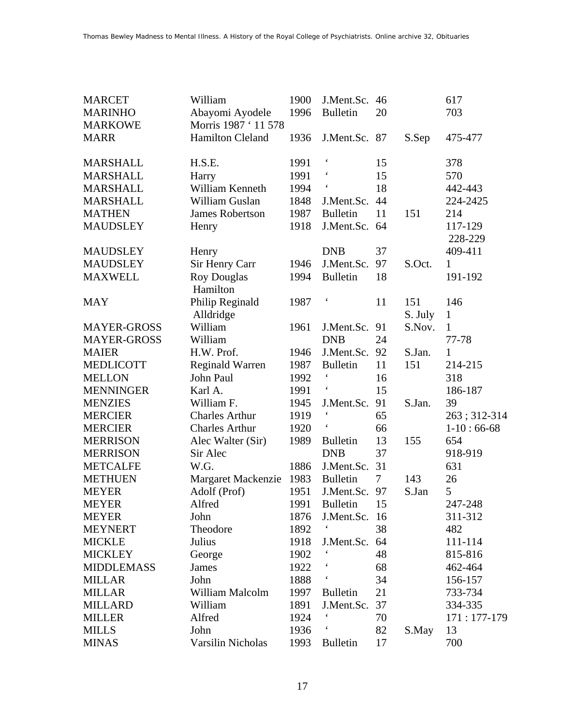| <b>MARCET</b>      | William                 | 1900 | J.Ment.Sc.      | 46     |         | 617           |
|--------------------|-------------------------|------|-----------------|--------|---------|---------------|
| <b>MARINHO</b>     | Abayomi Ayodele         | 1996 | <b>Bulletin</b> | 20     |         | 703           |
| <b>MARKOWE</b>     | Morris 1987 ' 11 578    |      |                 |        |         |               |
| <b>MARR</b>        | <b>Hamilton Cleland</b> | 1936 | J.Ment.Sc. 87   |        | S.Sep   | 475-477       |
| <b>MARSHALL</b>    | H.S.E.                  | 1991 |                 | 15     |         | 378           |
| <b>MARSHALL</b>    | Harry                   | 1991 |                 | 15     |         | 570           |
| <b>MARSHALL</b>    | William Kenneth         | 1994 |                 | 18     |         | 442-443       |
|                    | William Guslan          | 1848 | J.Ment.Sc.      | 44     |         | 224-2425      |
| <b>MARSHALL</b>    |                         |      |                 |        |         | 214           |
| <b>MATHEN</b>      | <b>James Robertson</b>  | 1987 | <b>Bulletin</b> | 11     | 151     |               |
| <b>MAUDSLEY</b>    | Henry                   | 1918 | J.Ment.Sc.      | 64     |         | 117-129       |
|                    |                         |      |                 |        |         | 228-229       |
| <b>MAUDSLEY</b>    | Henry                   |      | <b>DNB</b>      | 37     |         | 409-411       |
| <b>MAUDSLEY</b>    | Sir Henry Carr          | 1946 | J.Ment.Sc.      | 97     | S.Oct.  | $\mathbf{1}$  |
| <b>MAXWELL</b>     | <b>Roy Douglas</b>      | 1994 | <b>Bulletin</b> | 18     |         | 191-192       |
|                    | Hamilton                |      |                 |        |         |               |
| <b>MAY</b>         | Philip Reginald         | 1987 |                 | 11     | 151     | 146           |
|                    | Alldridge               |      |                 |        | S. July | $\mathbf{1}$  |
| <b>MAYER-GROSS</b> | William                 | 1961 | J.Ment.Sc.      | 91     | S.Nov.  | $\mathbf{1}$  |
| <b>MAYER-GROSS</b> | William                 |      | <b>DNB</b>      | 24     |         | 77-78         |
| <b>MAIER</b>       | H.W. Prof.              | 1946 | J.Ment.Sc.      | 92     | S.Jan.  | 1             |
| <b>MEDLICOTT</b>   | <b>Reginald Warren</b>  | 1987 | <b>Bulletin</b> | 11     | 151     | 214-215       |
| <b>MELLON</b>      | John Paul               | 1992 |                 | 16     |         | 318           |
| <b>MENNINGER</b>   | Karl A.                 | 1991 |                 | 15     |         | 186-187       |
| <b>MENZIES</b>     | William F.              | 1945 | J.Ment.Sc.      | 91     | S.Jan.  | 39            |
| <b>MERCIER</b>     | <b>Charles Arthur</b>   | 1919 |                 | 65     |         | 263; 312-314  |
| <b>MERCIER</b>     | <b>Charles Arthur</b>   | 1920 |                 | 66     |         | $1-10:66-68$  |
| <b>MERRISON</b>    | Alec Walter (Sir)       | 1989 | <b>Bulletin</b> | 13     | 155     | 654           |
| <b>MERRISON</b>    | Sir Alec                |      | <b>DNB</b>      | 37     |         | 918-919       |
| <b>METCALFE</b>    | W.G.                    | 1886 | J.Ment.Sc.      | 31     |         | 631           |
| <b>METHUEN</b>     | Margaret Mackenzie      | 1983 | <b>Bulletin</b> | $\tau$ | 143     | 26            |
| <b>MEYER</b>       | Adolf (Prof)            | 1951 | J.Ment.Sc.      | 97     | S.Jan   | 5             |
| <b>MEYER</b>       | Alfred                  | 1991 | <b>Bulletin</b> | 15     |         | 247-248       |
| <b>MEYER</b>       | John                    | 1876 | J.Ment.Sc. 16   |        |         | 311-312       |
| <b>MEYNERT</b>     | Theodore                | 1892 |                 | 38     |         | 482           |
| <b>MICKLE</b>      | Julius                  | 1918 | J.Ment.Sc.      | 64     |         | 111-114       |
| <b>MICKLEY</b>     | George                  | 1902 |                 | 48     |         | 815-816       |
| <b>MIDDLEMASS</b>  | <b>James</b>            | 1922 |                 | 68     |         | 462-464       |
| <b>MILLAR</b>      | John                    | 1888 |                 | 34     |         | 156-157       |
| <b>MILLAR</b>      | William Malcolm         | 1997 | <b>Bulletin</b> | 21     |         | 733-734       |
| <b>MILLARD</b>     | William                 | 1891 | J.Ment.Sc.      | 37     |         | 334-335       |
| <b>MILLER</b>      | Alfred                  | 1924 |                 | 70     |         | $171:177-179$ |
| <b>MILLS</b>       | John                    | 1936 |                 | 82     | S.May   | 13            |
| <b>MINAS</b>       | Varsilin Nicholas       | 1993 | <b>Bulletin</b> | 17     |         | 700           |
|                    |                         |      |                 |        |         |               |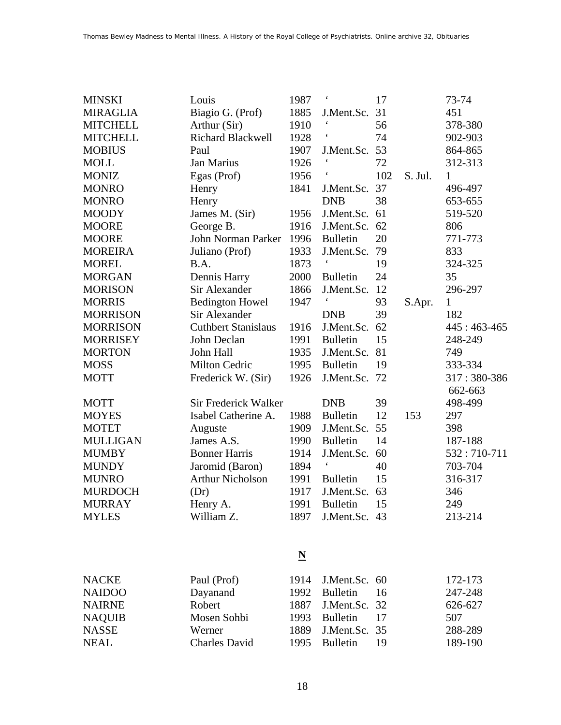| <b>MINSKI</b>   | Louis                      | 1987 | $\boldsymbol{\zeta}$ | 17  |         | 73-74                  |
|-----------------|----------------------------|------|----------------------|-----|---------|------------------------|
| <b>MIRAGLIA</b> | Biagio G. (Prof)           | 1885 | J.Ment.Sc.           | 31  |         | 451                    |
| <b>MITCHELL</b> | Arthur (Sir)               | 1910 |                      | 56  |         | 378-380                |
| <b>MITCHELL</b> | <b>Richard Blackwell</b>   | 1928 |                      | 74  |         | 902-903                |
| <b>MOBIUS</b>   | Paul                       | 1907 | J.Ment.Sc.           | 53  |         | 864-865                |
| <b>MOLL</b>     | Jan Marius                 | 1926 | $\pmb{\zeta}$        | 72  |         | 312-313                |
| <b>MONIZ</b>    | Egas (Prof)                | 1956 |                      | 102 | S. Jul. | $\mathbf{1}$           |
| <b>MONRO</b>    | Henry                      | 1841 | J.Ment.Sc.           | 37  |         | 496-497                |
| <b>MONRO</b>    | Henry                      |      | <b>DNB</b>           | 38  |         | 653-655                |
| <b>MOODY</b>    | James M. (Sir)             | 1956 | J.Ment.Sc.           | 61  |         | 519-520                |
| <b>MOORE</b>    | George B.                  | 1916 | J.Ment.Sc.           | 62  |         | 806                    |
| <b>MOORE</b>    | John Norman Parker         | 1996 | <b>Bulletin</b>      | 20  |         | 771-773                |
| <b>MOREIRA</b>  | Juliano (Prof)             | 1933 | J.Ment.Sc.           | 79  |         | 833                    |
| <b>MOREL</b>    | B.A.                       | 1873 | $\pmb{\zeta}$        | 19  |         | 324-325                |
| <b>MORGAN</b>   | Dennis Harry               | 2000 | <b>Bulletin</b>      | 24  |         | 35                     |
| <b>MORISON</b>  | Sir Alexander              | 1866 | J.Ment.Sc.           | 12  |         | 296-297                |
| <b>MORRIS</b>   | <b>Bedington Howel</b>     | 1947 |                      | 93  | S.Apr.  | $\mathbf{1}$           |
| <b>MORRISON</b> | Sir Alexander              |      | <b>DNB</b>           | 39  |         | 182                    |
| <b>MORRISON</b> | <b>Cuthbert Stanislaus</b> | 1916 | J.Ment.Sc.           | 62  |         | $445:463-465$          |
| <b>MORRISEY</b> | John Declan                | 1991 | <b>Bulletin</b>      | 15  |         | 248-249                |
| <b>MORTON</b>   | John Hall                  | 1935 | J.Ment.Sc.           | 81  |         | 749                    |
| <b>MOSS</b>     | Milton Cedric              | 1995 | <b>Bulletin</b>      | 19  |         | 333-334                |
| <b>MOTT</b>     | Frederick W. (Sir)         | 1926 | J.Ment.Sc.           | 72  |         | 317:380-386<br>662-663 |
| <b>MOTT</b>     | Sir Frederick Walker       |      | <b>DNB</b>           | 39  |         | 498-499                |
| <b>MOYES</b>    | Isabel Catherine A.        | 1988 | <b>Bulletin</b>      | 12  | 153     | 297                    |
| <b>MOTET</b>    | Auguste                    | 1909 | J.Ment.Sc.           | 55  |         | 398                    |
| <b>MULLIGAN</b> | James A.S.                 | 1990 | <b>Bulletin</b>      | 14  |         | 187-188                |
| <b>MUMBY</b>    | <b>Bonner Harris</b>       | 1914 | J.Ment.Sc.           | 60  |         | 532:710-711            |
| <b>MUNDY</b>    | Jaromid (Baron)            | 1894 |                      | 40  |         | 703-704                |
| <b>MUNRO</b>    | <b>Arthur Nicholson</b>    | 1991 | <b>Bulletin</b>      | 15  |         | 316-317                |
| <b>MURDOCH</b>  | (Dr)                       | 1917 | J.Ment.Sc.           | 63  |         | 346                    |
| <b>MURRAY</b>   | Henry A.                   | 1991 | <b>Bulletin</b>      | 15  |         | 249                    |
| <b>MYLES</b>    | William Z.                 | 1897 | J.Ment.Sc.           | 43  |         | 213-214                |
|                 |                            |      |                      |     |         |                        |

#### **N**

| NACKE         | Paul (Prof)          | 1914 J.Ment.Sc. 60 |      | 172-173 |
|---------------|----------------------|--------------------|------|---------|
| <b>NAIDOO</b> | Dayanand             | 1992 Bulletin 16   |      | 247-248 |
| <b>NAIRNE</b> | Robert               | 1887 J.Ment.Sc. 32 |      | 626-627 |
| <b>NAQUIB</b> | Mosen Sohbi          | 1993 Bulletin 17   |      | 507     |
| <b>NASSE</b>  | Werner               | 1889 J.Ment.Sc. 35 |      | 288-289 |
| <b>NEAL</b>   | <b>Charles David</b> | 1995 Bulletin      | - 19 | 189-190 |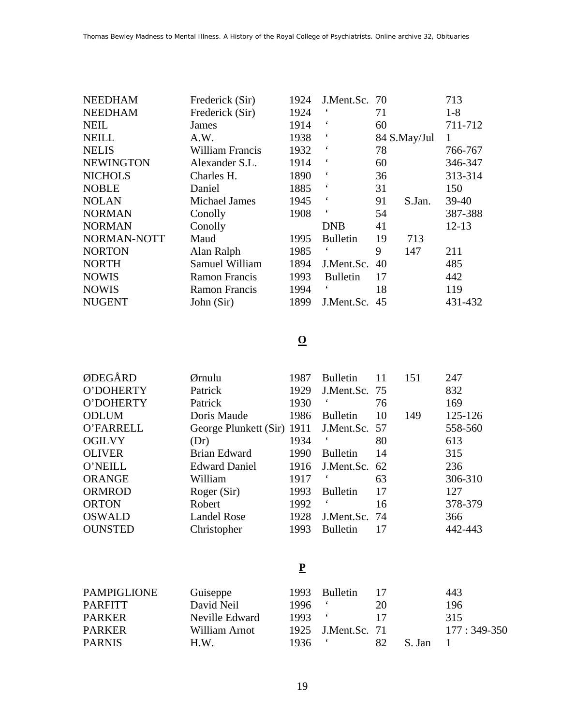| <b>NEEDHAM</b>   | Frederick (Sir)        | 1924 | J.Ment.Sc. 70            |    |              | 713       |
|------------------|------------------------|------|--------------------------|----|--------------|-----------|
| <b>NEEDHAM</b>   | Frederick (Sir)        | 1924 |                          | 71 |              | $1-8$     |
| <b>NEIL</b>      | James                  | 1914 | $\epsilon$               | 60 |              | 711-712   |
| <b>NEILL</b>     | A.W.                   | 1938 | $\epsilon$               |    | 84 S.May/Jul |           |
| <b>NELIS</b>     | <b>William Francis</b> | 1932 | $\boldsymbol{\zeta}$     | 78 |              | 766-767   |
| <b>NEWINGTON</b> | Alexander S.L.         | 1914 | $\epsilon$               | 60 |              | 346-347   |
| <b>NICHOLS</b>   | Charles H.             | 1890 | $\epsilon$               | 36 |              | 313-314   |
| <b>NOBLE</b>     | Daniel                 | 1885 | $\epsilon$               | 31 |              | 150       |
| <b>NOLAN</b>     | <b>Michael James</b>   | 1945 | $\epsilon$               | 91 | S.Jan.       | $39-40$   |
| <b>NORMAN</b>    | Conolly                | 1908 | $\boldsymbol{\varsigma}$ | 54 |              | 387-388   |
| <b>NORMAN</b>    | Conolly                |      | <b>DNB</b>               | 41 |              | $12 - 13$ |
| NORMAN-NOTT      | Maud                   | 1995 | <b>Bulletin</b>          | 19 | 713          |           |
| <b>NORTON</b>    | Alan Ralph             | 1985 |                          | 9  | 147          | 211       |
| <b>NORTH</b>     | Samuel William         | 1894 | J.Ment.Sc.               | 40 |              | 485       |
| <b>NOWIS</b>     | <b>Ramon Francis</b>   | 1993 | <b>Bulletin</b>          | 17 |              | 442       |
| <b>NOWIS</b>     | <b>Ramon Francis</b>   | 1994 |                          | 18 |              | 119       |
| <b>NUGENT</b>    | John (Sir)             | 1899 | J.Ment.Sc.               | 45 |              | 431-432   |
|                  |                        |      |                          |    |              |           |

# **O**

| ØDEGÅRD        | Ørnulu                     | 1987 | <b>Bulletin</b> | 11 | 151 | 247     |
|----------------|----------------------------|------|-----------------|----|-----|---------|
| O'DOHERTY      | Patrick                    | 1929 | J.Ment.Sc. 75   |    |     | 832     |
| O'DOHERTY      | Patrick                    | 1930 |                 | 76 |     | 169     |
| <b>ODLUM</b>   | Doris Maude                | 1986 | <b>Bulletin</b> | 10 | 149 | 125-126 |
| O'FARRELL      | George Plunkett (Sir) 1911 |      | J.Ment.Sc. 57   |    |     | 558-560 |
| <b>OGILVY</b>  | (Dr)                       | 1934 |                 | 80 |     | 613     |
| <b>OLIVER</b>  | <b>Brian Edward</b>        | 1990 | <b>Bulletin</b> | 14 |     | 315     |
| O'NEILL        | <b>Edward Daniel</b>       | 1916 | J.Ment.Sc.      | 62 |     | 236     |
| <b>ORANGE</b>  | William                    | 1917 |                 | 63 |     | 306-310 |
| <b>ORMROD</b>  | Roger (Sir)                | 1993 | <b>Bulletin</b> | 17 |     | 127     |
| <b>ORTON</b>   | Robert                     | 1992 |                 | 16 |     | 378-379 |
| <b>OSWALD</b>  | <b>Landel Rose</b>         | 1928 | J.Ment.Sc. 74   |    |     | 366     |
| <b>OUNSTED</b> | Christopher                | 1993 | <b>Bulletin</b> | 17 |     | 442-443 |

## **P**

| <b>PAMPIGLIONE</b> | Guiseppe       | 1993       | <b>Bulletin</b> |    |        | 443           |
|--------------------|----------------|------------|-----------------|----|--------|---------------|
| <b>PARFITT</b>     | David Neil     | 1996.      |                 | 20 |        | 196           |
| <b>PARKER</b>      | Neville Edward | $1993$ $($ |                 |    |        | 315           |
| <b>PARKER</b>      | William Arnot  | 1925       | J.Ment.Sc. 71   |    |        | $177:349-350$ |
| <b>PARNIS</b>      | H.W.           | 1936.      |                 | 82 | S. Jan |               |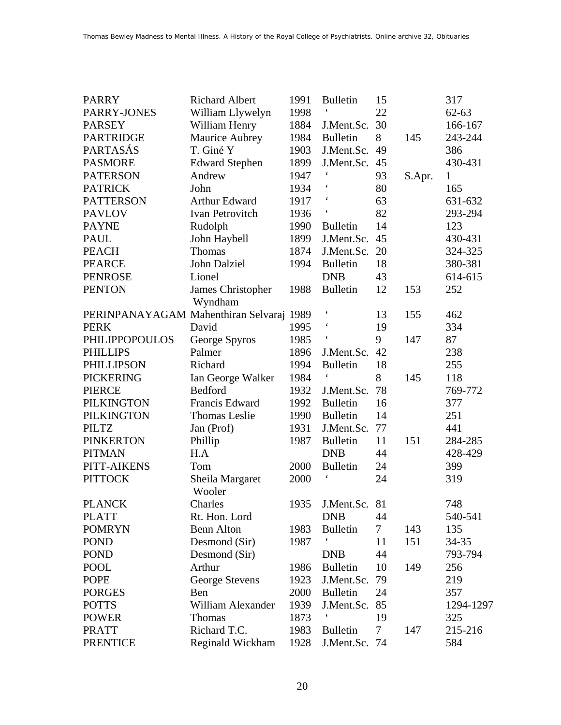| <b>PARRY</b>                             | <b>Richard Albert</b>     | 1991 | <b>Bulletin</b>          | 15     |        | 317          |
|------------------------------------------|---------------------------|------|--------------------------|--------|--------|--------------|
| PARRY-JONES                              | William Llywelyn          | 1998 |                          | 22     |        | $62 - 63$    |
| <b>PARSEY</b>                            | William Henry             | 1884 | J.Ment.Sc.               | 30     |        | 166-167      |
| <b>PARTRIDGE</b>                         | Maurice Aubrey            | 1984 | <b>Bulletin</b>          | 8      | 145    | 243-244      |
| PARTASÁS                                 | T. Giné Y                 | 1903 | J.Ment.Sc.               | 49     |        | 386          |
| <b>PASMORE</b>                           | <b>Edward Stephen</b>     | 1899 | J.Ment.Sc.               | 45     |        | 430-431      |
| <b>PATERSON</b>                          | Andrew                    | 1947 | $\boldsymbol{\varsigma}$ | 93     | S.Apr. | $\mathbf{1}$ |
| <b>PATRICK</b>                           | John                      | 1934 |                          | 80     |        | 165          |
| <b>PATTERSON</b>                         | Arthur Edward             | 1917 |                          | 63     |        | 631-632      |
| <b>PAVLOV</b>                            | Ivan Petrovitch           | 1936 | $\pmb{\zeta}$            | 82     |        | 293-294      |
| <b>PAYNE</b>                             | Rudolph                   | 1990 | <b>Bulletin</b>          | 14     |        | 123          |
| <b>PAUL</b>                              | John Haybell              | 1899 | J.Ment.Sc.               | 45     |        | 430-431      |
| <b>PEACH</b>                             | Thomas                    | 1874 | J.Ment.Sc.               | 20     |        | 324-325      |
| <b>PEARCE</b>                            | John Dalziel              | 1994 | <b>Bulletin</b>          | 18     |        | 380-381      |
| <b>PENROSE</b>                           | Lionel                    |      | <b>DNB</b>               | 43     |        | 614-615      |
| <b>PENTON</b>                            | James Christopher         | 1988 | <b>Bulletin</b>          | 12     | 153    | 252          |
|                                          | Wyndham                   |      |                          |        |        |              |
| PERINPANAYAGAM Mahenthiran Selvaraj 1989 |                           |      | $\pmb{\zeta}$            | 13     | 155    | 462          |
| <b>PERK</b>                              | David                     | 1995 | $\pmb{\zeta}$            | 19     |        | 334          |
| <b>PHILIPPOPOULOS</b>                    | George Spyros             | 1985 | $\boldsymbol{\zeta}$     | 9      | 147    | 87           |
| <b>PHILLIPS</b>                          | Palmer                    | 1896 | J.Ment.Sc.               | 42     |        | 238          |
| <b>PHILLIPSON</b>                        | Richard                   | 1994 | <b>Bulletin</b>          | 18     |        | 255          |
| <b>PICKERING</b>                         | Ian George Walker         | 1984 |                          | 8      | 145    | 118          |
| <b>PIERCE</b>                            | Bedford                   | 1932 | J.Ment.Sc.               | 78     |        | 769-772      |
| <b>PILKINGTON</b>                        | Francis Edward            | 1992 | <b>Bulletin</b>          | 16     |        | 377          |
| <b>PILKINGTON</b>                        | <b>Thomas Leslie</b>      | 1990 | <b>Bulletin</b>          | 14     |        | 251          |
| <b>PILTZ</b>                             | Jan (Prof)                | 1931 | J.Ment.Sc.               | 77     |        | 441          |
| <b>PINKERTON</b>                         | Phillip                   | 1987 | <b>Bulletin</b>          | 11     | 151    | 284-285      |
| <b>PITMAN</b>                            | H.A                       |      | <b>DNB</b>               | 44     |        | 428-429      |
| PITT-AIKENS                              | Tom                       | 2000 | <b>Bulletin</b>          | 24     |        | 399          |
| <b>PITTOCK</b>                           | Sheila Margaret<br>Wooler | 2000 | $\pmb{\zeta}$            | 24     |        | 319          |
| <b>PLANCK</b>                            | Charles                   | 1935 | J.Ment.Sc.               | 81     |        | 748          |
| <b>PLATT</b>                             | Rt. Hon. Lord             |      | <b>DNB</b>               | 44     |        | 540-541      |
| <b>POMRYN</b>                            | <b>Benn Alton</b>         | 1983 | <b>Bulletin</b>          | $\tau$ | 143    | 135          |
| <b>POND</b>                              | Desmond (Sir)             | 1987 |                          | 11     | 151    | 34-35        |
| <b>POND</b>                              | Desmond (Sir)             |      | <b>DNB</b>               | 44     |        | 793-794      |
| <b>POOL</b>                              | Arthur                    | 1986 | <b>Bulletin</b>          | 10     | 149    | 256          |
| <b>POPE</b>                              | George Stevens            | 1923 | J.Ment.Sc.               | 79     |        | 219          |
| <b>PORGES</b>                            | Ben                       | 2000 | <b>Bulletin</b>          | 24     |        | 357          |
| <b>POTTS</b>                             | William Alexander         | 1939 | J.Ment.Sc.               | 85     |        | 1294-1297    |
| <b>POWER</b>                             | Thomas                    | 1873 |                          | 19     |        | 325          |
| <b>PRATT</b>                             | Richard T.C.              | 1983 | <b>Bulletin</b>          | 7      | 147    | 215-216      |
| <b>PRENTICE</b>                          | Reginald Wickham          | 1928 | J.Ment.Sc. 74            |        |        | 584          |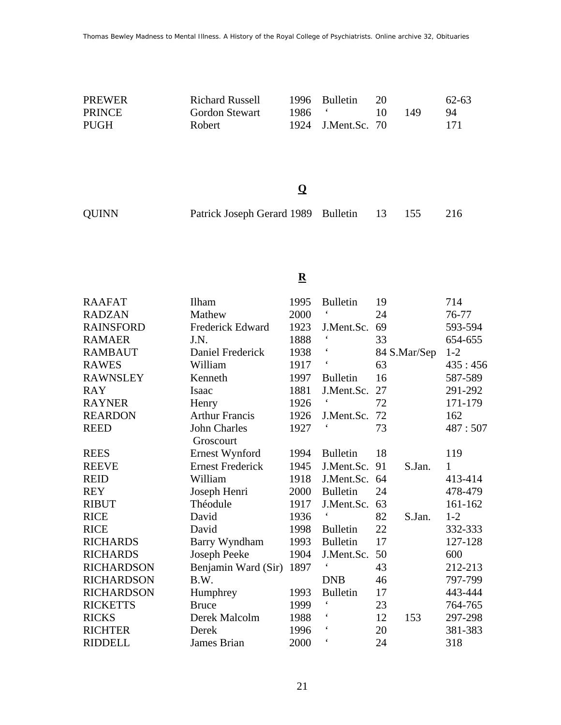| PREWER        | Richard Russell | 1996 Bulletin      |     | 62-63 |
|---------------|-----------------|--------------------|-----|-------|
| <b>PRINCE</b> | Gordon Stewart  | $1986$ $\cdot$     | 149 | 94    |
| <b>PUGH</b>   | Robert          | 1924 J.Ment.Sc. 70 |     | -171  |

## **Q**

|  | <b>QUINN</b> | Patrick Joseph Gerard 1989 Bulletin 13 155 216 |  |  |  |  |
|--|--------------|------------------------------------------------|--|--|--|--|
|--|--------------|------------------------------------------------|--|--|--|--|

### **R**

| <b>RAAFAT</b>     | Ilham                   | 1995 | <b>Bulletin</b>          | 19 |              | 714          |
|-------------------|-------------------------|------|--------------------------|----|--------------|--------------|
| <b>RADZAN</b>     | Mathew                  | 2000 | $\boldsymbol{\varsigma}$ | 24 |              | 76-77        |
| <b>RAINSFORD</b>  | <b>Frederick Edward</b> | 1923 | J.Ment.Sc.               | 69 |              | 593-594      |
| <b>RAMAER</b>     | J.N.                    | 1888 | $\pmb{\zeta}$            | 33 |              | 654-655      |
| <b>RAMBAUT</b>    | Daniel Frederick        | 1938 | $\boldsymbol{\zeta}$     |    | 84 S.Mar/Sep | $1 - 2$      |
| <b>RAWES</b>      | William                 | 1917 | $\boldsymbol{\varsigma}$ | 63 |              | 435:456      |
| <b>RAWNSLEY</b>   | Kenneth                 | 1997 | <b>Bulletin</b>          | 16 |              | 587-589      |
| <b>RAY</b>        | Isaac                   | 1881 | J.Ment.Sc.               | 27 |              | 291-292      |
| <b>RAYNER</b>     | Henry                   | 1926 | $\boldsymbol{\zeta}$     | 72 |              | 171-179      |
| <b>REARDON</b>    | <b>Arthur Francis</b>   | 1926 | J.Ment.Sc.               | 72 |              | 162          |
| <b>REED</b>       | <b>John Charles</b>     | 1927 |                          | 73 |              | 487:507      |
|                   | Groscourt               |      |                          |    |              |              |
| <b>REES</b>       | Ernest Wynford          | 1994 | <b>Bulletin</b>          | 18 |              | 119          |
| <b>REEVE</b>      | <b>Ernest Frederick</b> | 1945 | J.Ment.Sc.               | 91 | S.Jan.       | $\mathbf{1}$ |
| <b>REID</b>       | William                 | 1918 | J.Ment.Sc.               | 64 |              | 413-414      |
| <b>REY</b>        | Joseph Henri            | 2000 | <b>Bulletin</b>          | 24 |              | 478-479      |
| <b>RIBUT</b>      | Théodule                | 1917 | J.Ment.Sc.               | 63 |              | 161-162      |
| <b>RICE</b>       | David                   | 1936 | $\boldsymbol{\zeta}$     | 82 | S.Jan.       | $1 - 2$      |
| <b>RICE</b>       | David                   | 1998 | <b>Bulletin</b>          | 22 |              | 332-333      |
| <b>RICHARDS</b>   | Barry Wyndham           | 1993 | <b>Bulletin</b>          | 17 |              | 127-128      |
| <b>RICHARDS</b>   | Joseph Peeke            | 1904 | J.Ment.Sc.               | 50 |              | 600          |
| <b>RICHARDSON</b> | Benjamin Ward (Sir)     | 1897 |                          | 43 |              | 212-213      |
| <b>RICHARDSON</b> | B.W.                    |      | <b>DNB</b>               | 46 |              | 797-799      |
| <b>RICHARDSON</b> | Humphrey                | 1993 | <b>Bulletin</b>          | 17 |              | 443-444      |
| <b>RICKETTS</b>   | <b>Bruce</b>            | 1999 | $\boldsymbol{\zeta}$     | 23 |              | 764-765      |
| <b>RICKS</b>      | Derek Malcolm           | 1988 | $\boldsymbol{\zeta}$     | 12 | 153          | 297-298      |
| <b>RICHTER</b>    | Derek                   | 1996 | $\boldsymbol{\zeta}$     | 20 |              | 381-383      |
| <b>RIDDELL</b>    | James Brian             | 2000 | $\boldsymbol{\zeta}$     | 24 |              | 318          |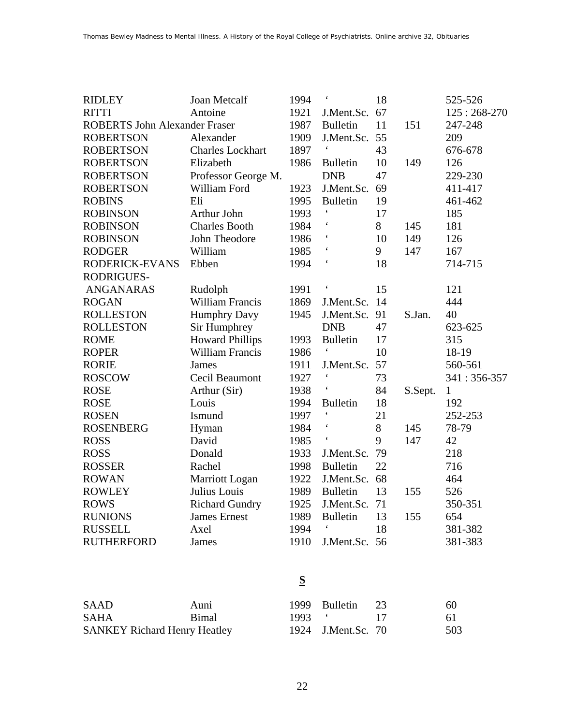| <b>RIDLEY</b>                        | <b>Joan Metcalf</b>     | 1994 | $\boldsymbol{\zeta}$     | 18 |         | 525-526       |
|--------------------------------------|-------------------------|------|--------------------------|----|---------|---------------|
| <b>RITTI</b>                         | Antoine                 | 1921 | J.Ment.Sc.               | 67 |         | $125:268-270$ |
| <b>ROBERTS John Alexander Fraser</b> |                         | 1987 | <b>Bulletin</b>          | 11 | 151     | 247-248       |
| <b>ROBERTSON</b>                     | Alexander               | 1909 | J.Ment.Sc.               | 55 |         | 209           |
| <b>ROBERTSON</b>                     | <b>Charles Lockhart</b> | 1897 |                          | 43 |         | 676-678       |
| <b>ROBERTSON</b>                     | Elizabeth               | 1986 | <b>Bulletin</b>          | 10 | 149     | 126           |
| <b>ROBERTSON</b>                     | Professor George M.     |      | <b>DNB</b>               | 47 |         | 229-230       |
| <b>ROBERTSON</b>                     | William Ford            | 1923 | J.Ment.Sc.               | 69 |         | 411-417       |
| <b>ROBINS</b>                        | Eli                     | 1995 | <b>Bulletin</b>          | 19 |         | 461-462       |
| <b>ROBINSON</b>                      | Arthur John             | 1993 | $\pmb{\zeta}$            | 17 |         | 185           |
| <b>ROBINSON</b>                      | <b>Charles Booth</b>    | 1984 | $\boldsymbol{\zeta}$     | 8  | 145     | 181           |
| <b>ROBINSON</b>                      | John Theodore           | 1986 |                          | 10 | 149     | 126           |
| <b>RODGER</b>                        | William                 | 1985 | $\boldsymbol{\zeta}$     | 9  | 147     | 167           |
| RODERICK-EVANS                       | Ebben                   | 1994 | $\pmb{\zeta}$            | 18 |         | 714-715       |
| <b>RODRIGUES-</b>                    |                         |      |                          |    |         |               |
| <b>ANGANARAS</b>                     | Rudolph                 | 1991 | $\boldsymbol{\varsigma}$ | 15 |         | 121           |
| <b>ROGAN</b>                         | <b>William Francis</b>  | 1869 | J.Ment.Sc.               | 14 |         | 444           |
| <b>ROLLESTON</b>                     | <b>Humphry Davy</b>     | 1945 | J.Ment.Sc.               | 91 | S.Jan.  | 40            |
| <b>ROLLESTON</b>                     | Sir Humphrey            |      | <b>DNB</b>               | 47 |         | 623-625       |
| <b>ROME</b>                          | <b>Howard Phillips</b>  | 1993 | <b>Bulletin</b>          | 17 |         | 315           |
| <b>ROPER</b>                         | William Francis         | 1986 | $\boldsymbol{\varsigma}$ | 10 |         | 18-19         |
| <b>RORIE</b>                         | <b>James</b>            | 1911 | J.Ment.Sc.               | 57 |         | 560-561       |
| <b>ROSCOW</b>                        | Cecil Beaumont          | 1927 | $\pmb{\zeta}$            | 73 |         | 341:356-357   |
| <b>ROSE</b>                          | Arthur (Sir)            | 1938 | $\boldsymbol{\varsigma}$ | 84 | S.Sept. | $\mathbf{1}$  |
| <b>ROSE</b>                          | Louis                   | 1994 | <b>Bulletin</b>          | 18 |         | 192           |
| <b>ROSEN</b>                         | Ismund                  | 1997 | $\pmb{\zeta}$            | 21 |         | 252-253       |
| <b>ROSENBERG</b>                     | Hyman                   | 1984 | $\pmb{\zeta}$            | 8  | 145     | 78-79         |
| <b>ROSS</b>                          | David                   | 1985 | $\pmb{\zeta}$            | 9  | 147     | 42            |
| <b>ROSS</b>                          | Donald                  | 1933 | J.Ment.Sc.               | 79 |         | 218           |
| <b>ROSSER</b>                        | Rachel                  | 1998 | <b>Bulletin</b>          | 22 |         | 716           |
| <b>ROWAN</b>                         | Marriott Logan          | 1922 | J.Ment.Sc.               | 68 |         | 464           |
| <b>ROWLEY</b>                        | Julius Louis            | 1989 | <b>Bulletin</b>          | 13 | 155     | 526           |
| <b>ROWS</b>                          | <b>Richard Gundry</b>   | 1925 | J.Ment.Sc.               | 71 |         | 350-351       |
| <b>RUNIONS</b>                       | <b>James</b> Ernest     | 1989 | <b>Bulletin</b>          | 13 | 155     | 654           |
| <b>RUSSELL</b>                       | Axel                    | 1994 | $\pmb{\zeta}$            | 18 |         | 381-382       |
| <b>RUTHERFORD</b>                    | James                   | 1910 | J.Ment.Sc.               | 56 |         | 381-383       |

# **S**

| SAAD                                | Auni         |  | 1999 Bulletin 23   | 60  |
|-------------------------------------|--------------|--|--------------------|-----|
| <b>SAHA</b>                         | <b>Bimal</b> |  |                    | -61 |
| <b>SANKEY Richard Henry Heatley</b> |              |  | 1924 J.Ment.Sc. 70 | 503 |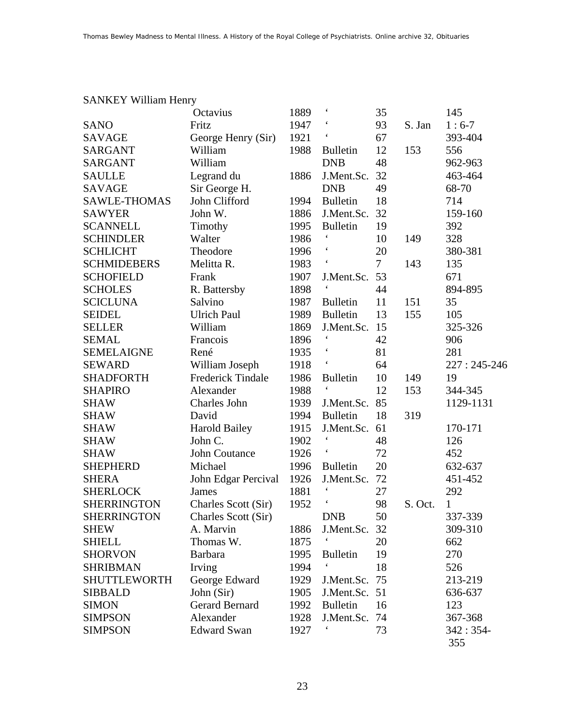|                     | Octavius                 | 1889 | $\boldsymbol{\zeta}$ | 35 |         | 145             |
|---------------------|--------------------------|------|----------------------|----|---------|-----------------|
| <b>SANO</b>         | Fritz                    | 1947 |                      | 93 | S. Jan  | $1:6-7$         |
| <b>SAVAGE</b>       | George Henry (Sir)       | 1921 |                      | 67 |         | 393-404         |
| <b>SARGANT</b>      | William                  | 1988 | <b>Bulletin</b>      | 12 | 153     | 556             |
| <b>SARGANT</b>      | William                  |      | <b>DNB</b>           | 48 |         | 962-963         |
| <b>SAULLE</b>       | Legrand du               | 1886 | J.Ment.Sc.           | 32 |         | 463-464         |
| <b>SAVAGE</b>       | Sir George H.            |      | <b>DNB</b>           | 49 |         | 68-70           |
| <b>SAWLE-THOMAS</b> | John Clifford            | 1994 | <b>Bulletin</b>      | 18 |         | 714             |
| <b>SAWYER</b>       | John W.                  | 1886 | J.Ment.Sc.           | 32 |         | 159-160         |
| <b>SCANNELL</b>     | Timothy                  | 1995 | <b>Bulletin</b>      | 19 |         | 392             |
| <b>SCHINDLER</b>    | Walter                   | 1986 | $\boldsymbol{\zeta}$ | 10 | 149     | 328             |
| <b>SCHLICHT</b>     | Theodore                 | 1996 |                      | 20 |         | 380-381         |
| <b>SCHMIDEBERS</b>  | Melitta R.               | 1983 |                      | 7  | 143     | 135             |
| <b>SCHOFIELD</b>    | Frank                    | 1907 | J.Ment.Sc.           | 53 |         | 671             |
| <b>SCHOLES</b>      | R. Battersby             | 1898 | $\pmb{\zeta}$        | 44 |         | 894-895         |
| <b>SCICLUNA</b>     | Salvino                  | 1987 | <b>Bulletin</b>      | 11 | 151     | 35              |
| <b>SEIDEL</b>       | <b>Ulrich Paul</b>       | 1989 | <b>Bulletin</b>      | 13 | 155     | 105             |
| <b>SELLER</b>       | William                  | 1869 | J.Ment.Sc.           | 15 |         | 325-326         |
| <b>SEMAL</b>        | Francois                 | 1896 |                      | 42 |         | 906             |
| <b>SEMELAIGNE</b>   | René                     | 1935 |                      | 81 |         | 281             |
| <b>SEWARD</b>       | William Joseph           | 1918 | $\boldsymbol{\zeta}$ | 64 |         | $227:245 - 246$ |
| <b>SHADFORTH</b>    | <b>Frederick Tindale</b> | 1986 | <b>Bulletin</b>      | 10 | 149     | 19              |
| <b>SHAPIRO</b>      | Alexander                | 1988 |                      | 12 | 153     | 344-345         |
| <b>SHAW</b>         | Charles John             | 1939 | J.Ment.Sc.           | 85 |         | 1129-1131       |
| <b>SHAW</b>         | David                    | 1994 | <b>Bulletin</b>      | 18 | 319     |                 |
| <b>SHAW</b>         | <b>Harold Bailey</b>     | 1915 | J.Ment.Sc.           | 61 |         | 170-171         |
| <b>SHAW</b>         | John C.                  | 1902 | $\boldsymbol{\zeta}$ | 48 |         | 126             |
| <b>SHAW</b>         | John Coutance            | 1926 |                      | 72 |         | 452             |
| <b>SHEPHERD</b>     | Michael                  | 1996 | <b>Bulletin</b>      | 20 |         | 632-637         |
| <b>SHERA</b>        | John Edgar Percival      | 1926 | J.Ment.Sc.           | 72 |         | 451-452         |
| <b>SHERLOCK</b>     | James                    | 1881 | $\pmb{\zeta}$        | 27 |         | 292             |
| <b>SHERRINGTON</b>  | Charles Scott (Sir)      | 1952 | $\pmb{\zeta}$        | 98 | S. Oct. | $\mathbf{1}$    |
| <b>SHERRINGTON</b>  | Charles Scott (Sir)      |      | <b>DNB</b>           | 50 |         | 337-339         |
| <b>SHEW</b>         | A. Marvin                | 1886 | J.Ment.Sc. 32        |    |         | 309-310         |
| <b>SHIELL</b>       | Thomas W.                | 1875 |                      | 20 |         | 662             |
| <b>SHORVON</b>      | <b>Barbara</b>           | 1995 | <b>Bulletin</b>      | 19 |         | 270             |
| <b>SHRIBMAN</b>     | Irving                   | 1994 |                      | 18 |         | 526             |
| <b>SHUTTLEWORTH</b> | George Edward            | 1929 | J.Ment.Sc.           | 75 |         | 213-219         |
| <b>SIBBALD</b>      | John (Sir)               | 1905 | J.Ment.Sc. 51        |    |         | 636-637         |
| <b>SIMON</b>        | Gerard Bernard           | 1992 | <b>Bulletin</b>      | 16 |         | 123             |
| <b>SIMPSON</b>      | Alexander                | 1928 | J.Ment.Sc.           | 74 |         | 367-368         |
| <b>SIMPSON</b>      | <b>Edward Swan</b>       | 1927 |                      | 73 |         | $342:354-$      |
|                     |                          |      |                      |    |         | 355             |

#### SANKEY William Henry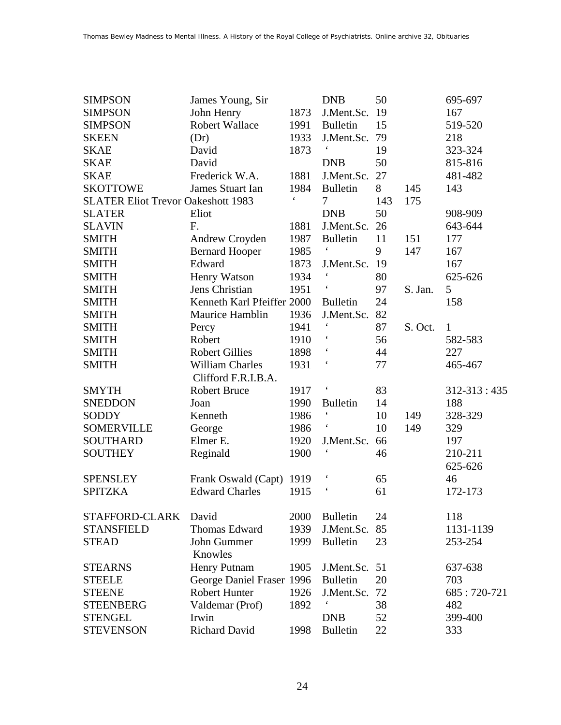| <b>SIMPSON</b>                            | James Young, Sir           |               | <b>DNB</b>           | 50  |         | 695-697           |
|-------------------------------------------|----------------------------|---------------|----------------------|-----|---------|-------------------|
| <b>SIMPSON</b>                            | John Henry                 | 1873          | J.Ment.Sc.           | 19  |         | 167               |
| <b>SIMPSON</b>                            | <b>Robert Wallace</b>      | 1991          | <b>Bulletin</b>      | 15  |         | 519-520           |
| <b>SKEEN</b>                              | (Dr)                       | 1933          | J.Ment.Sc.           | 79  |         | 218               |
| <b>SKAE</b>                               | David                      | 1873          |                      | 19  |         | 323-324           |
| <b>SKAE</b>                               | David                      |               | <b>DNB</b>           | 50  |         | 815-816           |
| <b>SKAE</b>                               | Frederick W.A.             | 1881          | J.Ment.Sc.           | 27  |         | 481-482           |
| <b>SKOTTOWE</b>                           | James Stuart Ian           | 1984          | <b>Bulletin</b>      | 8   | 145     | 143               |
| <b>SLATER Eliot Trevor Oakeshott 1983</b> |                            | $\pmb{\zeta}$ | 7                    | 143 | 175     |                   |
| <b>SLATER</b>                             | Eliot                      |               | <b>DNB</b>           | 50  |         | 908-909           |
| <b>SLAVIN</b>                             | F.                         | 1881          | J.Ment.Sc.           | 26  |         | 643-644           |
| <b>SMITH</b>                              | Andrew Croyden             | 1987          | <b>Bulletin</b>      | 11  | 151     | 177               |
| <b>SMITH</b>                              | <b>Bernard Hooper</b>      | 1985          | $\boldsymbol{\zeta}$ | 9   | 147     | 167               |
| <b>SMITH</b>                              | Edward                     | 1873          | J.Ment.Sc.           | 19  |         | 167               |
| <b>SMITH</b>                              | <b>Henry Watson</b>        | 1934          | $\boldsymbol{\zeta}$ | 80  |         | 625-626           |
| <b>SMITH</b>                              | Jens Christian             | 1951          |                      | 97  | S. Jan. | 5                 |
| <b>SMITH</b>                              | Kenneth Karl Pfeiffer 2000 |               | <b>Bulletin</b>      | 24  |         | 158               |
| <b>SMITH</b>                              | Maurice Hamblin            | 1936          | J.Ment.Sc.           | 82  |         |                   |
| <b>SMITH</b>                              | Percy                      | 1941          |                      | 87  | S. Oct. | $\mathbf{1}$      |
| <b>SMITH</b>                              | Robert                     | 1910          |                      | 56  |         | 582-583           |
| <b>SMITH</b>                              | <b>Robert Gillies</b>      | 1898          |                      | 44  |         | 227               |
| <b>SMITH</b>                              | <b>William Charles</b>     | 1931          |                      | 77  |         | 465-467           |
|                                           | Clifford F.R.I.B.A.        |               |                      |     |         |                   |
| <b>SMYTH</b>                              | <b>Robert Bruce</b>        | 1917          |                      | 83  |         | $312 - 313 : 435$ |
| <b>SNEDDON</b>                            | Joan                       | 1990          | <b>Bulletin</b>      | 14  |         | 188               |
| <b>SODDY</b>                              | Kenneth                    | 1986          |                      | 10  | 149     | 328-329           |
| <b>SOMERVILLE</b>                         | George                     | 1986          |                      | 10  | 149     | 329               |
| <b>SOUTHARD</b>                           | Elmer E.                   | 1920          | J.Ment.Sc.           | 66  |         | 197               |
| <b>SOUTHEY</b>                            | Reginald                   | 1900          |                      | 46  |         | 210-211           |
|                                           |                            |               |                      |     |         | 625-626           |
| <b>SPENSLEY</b>                           | Frank Oswald (Capt)        | 1919          |                      | 65  |         | 46                |
| <b>SPITZKA</b>                            | <b>Edward Charles</b>      | 1915          | $\boldsymbol{\zeta}$ | 61  |         | 172-173           |
| STAFFORD-CLARK                            | David                      | 2000          | <b>Bulletin</b>      | 24  |         | 118               |
| <b>STANSFIELD</b>                         | Thomas Edward              | 1939          | J.Ment.Sc.           | 85  |         | 1131-1139         |
| <b>STEAD</b>                              | John Gummer                | 1999          | <b>Bulletin</b>      | 23  |         | 253-254           |
|                                           | Knowles                    |               |                      |     |         |                   |
| <b>STEARNS</b>                            | Henry Putnam               | 1905          | J.Ment.Sc. 51        |     |         | 637-638           |
| <b>STEELE</b>                             | George Daniel Fraser 1996  |               | <b>Bulletin</b>      | 20  |         | 703               |
| <b>STEENE</b>                             | <b>Robert Hunter</b>       | 1926          | J.Ment.Sc.           | 72  |         | 685:720-721       |
| <b>STEENBERG</b>                          | Valdemar (Prof)            | 1892          |                      | 38  |         | 482               |
| <b>STENGEL</b>                            | Irwin                      |               | <b>DNB</b>           | 52  |         | 399-400           |
| <b>STEVENSON</b>                          | <b>Richard David</b>       | 1998          | <b>Bulletin</b>      | 22  |         | 333               |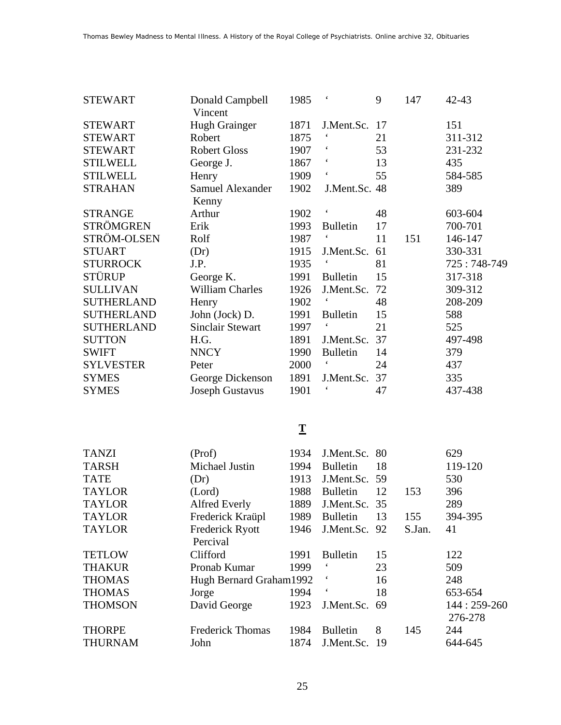| <b>STEWART</b>    | Donald Campbell<br>Vincent | 1985 |                      | 9  | 147 | $42 - 43$   |
|-------------------|----------------------------|------|----------------------|----|-----|-------------|
| <b>STEWART</b>    | Hugh Grainger              | 1871 | J.Ment.Sc. 17        |    |     | 151         |
| <b>STEWART</b>    | Robert                     | 1875 |                      | 21 |     | 311-312     |
| <b>STEWART</b>    | <b>Robert Gloss</b>        | 1907 |                      | 53 |     | 231-232     |
| <b>STILWELL</b>   | George J.                  | 1867 | $\boldsymbol{\zeta}$ | 13 |     | 435         |
| <b>STILWELL</b>   | Henry                      | 1909 | $\boldsymbol{\zeta}$ | 55 |     | 584-585     |
| <b>STRAHAN</b>    | Samuel Alexander           | 1902 | J.Ment.Sc. 48        |    |     | 389         |
|                   | Kenny                      |      |                      |    |     |             |
| <b>STRANGE</b>    | Arthur                     | 1902 | $\blacksquare$       | 48 |     | 603-604     |
| <b>STRÖMGREN</b>  | Erik                       | 1993 | <b>Bulletin</b>      | 17 |     | 700-701     |
| STRÖM-OLSEN       | Rolf                       | 1987 |                      | 11 | 151 | 146-147     |
| <b>STUART</b>     | (Dr)                       | 1915 | J.Ment.Sc.           | 61 |     | 330-331     |
| <b>STURROCK</b>   | J.P.                       | 1935 |                      | 81 |     | 725:748-749 |
| STÜRUP            | George K.                  | 1991 | <b>Bulletin</b>      | 15 |     | 317-318     |
| <b>SULLIVAN</b>   | <b>William Charles</b>     | 1926 | J.Ment.Sc.           | 72 |     | 309-312     |
| <b>SUTHERLAND</b> | Henry                      | 1902 |                      | 48 |     | 208-209     |
| <b>SUTHERLAND</b> | John (Jock) D.             | 1991 | <b>Bulletin</b>      | 15 |     | 588         |
| <b>SUTHERLAND</b> | <b>Sinclair Stewart</b>    | 1997 |                      | 21 |     | 525         |
| <b>SUTTON</b>     | H.G.                       | 1891 | J.Ment.Sc.           | 37 |     | 497-498     |
| <b>SWIFT</b>      | <b>NNCY</b>                | 1990 | <b>Bulletin</b>      | 14 |     | 379         |
| <b>SYLVESTER</b>  | Peter                      | 2000 |                      | 24 |     | 437         |
| <b>SYMES</b>      | George Dickenson           | 1891 | J.Ment.Sc.           | 37 |     | 335         |
| <b>SYMES</b>      | <b>Joseph Gustavus</b>     | 1901 |                      | 47 |     | 437-438     |
|                   |                            |      |                      |    |     |             |

# **T**

| <b>TANZI</b>   | (Prof)                  | 1934 | J.Ment.Sc. 80        |     |        | 629          |
|----------------|-------------------------|------|----------------------|-----|--------|--------------|
| <b>TARSH</b>   | Michael Justin          | 1994 | <b>Bulletin</b>      | 18  |        | 119-120      |
| <b>TATE</b>    | (Dr)                    | 1913 | J.Ment.Sc. 59        |     |        | 530          |
| <b>TAYLOR</b>  | (Lord)                  | 1988 | <b>Bulletin</b>      | 12  | 153    | 396          |
| <b>TAYLOR</b>  | <b>Alfred Everly</b>    | 1889 | J.Ment.Sc. 35        |     |        | 289          |
| <b>TAYLOR</b>  | Frederick Kraüpl        | 1989 | <b>Bulletin</b>      | 13  | 155    | 394-395      |
| <b>TAYLOR</b>  | <b>Frederick Ryott</b>  | 1946 | J.Ment.Sc. 92        |     | S.Jan. | 41           |
|                | Percival                |      |                      |     |        |              |
| <b>TETLOW</b>  | Clifford                | 1991 | <b>Bulletin</b>      | 15  |        | 122          |
| <b>THAKUR</b>  | Pronab Kumar            | 1999 |                      | 23  |        | 509          |
| <b>THOMAS</b>  | Hugh Bernard Graham1992 |      | $\ddot{\phantom{1}}$ | 16  |        | 248          |
| <b>THOMAS</b>  | Jorge                   | 1994 |                      | 18  |        | 653-654      |
| <b>THOMSON</b> | David George            | 1923 | J.Ment.Sc. 69        |     |        | 144: 259-260 |
|                |                         |      |                      |     |        | 276-278      |
| <b>THORPE</b>  | <b>Frederick Thomas</b> | 1984 | <b>Bulletin</b>      | 8   | 145    | 244          |
| <b>THURNAM</b> | John                    | 1874 | J.Ment.Sc.           | -19 |        | 644-645      |
|                |                         |      |                      |     |        |              |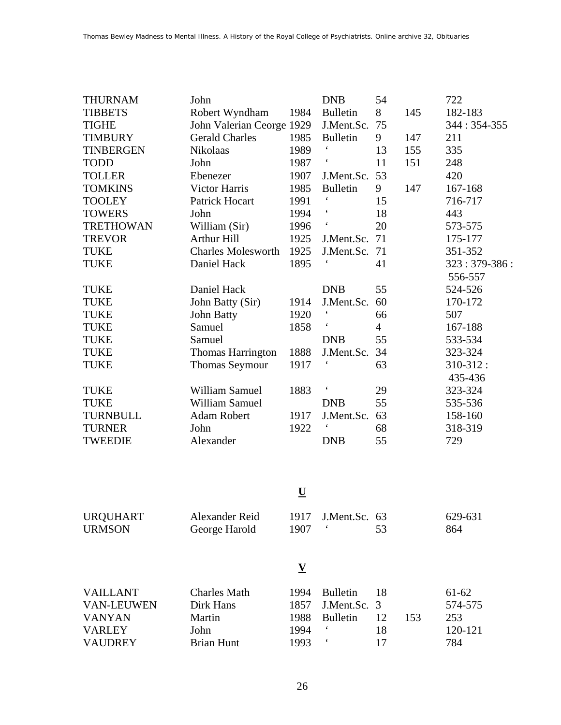| <b>THURNAM</b>   | John                      |      | <b>DNB</b>               | 54             |     | 722            |
|------------------|---------------------------|------|--------------------------|----------------|-----|----------------|
| <b>TIBBETS</b>   | Robert Wyndham            | 1984 | <b>Bulletin</b>          | 8              | 145 | 182-183        |
| <b>TIGHE</b>     | John Valerian Ceorge 1929 |      | J.Ment.Sc.               | 75             |     | 344: 354-355   |
| <b>TIMBURY</b>   | <b>Gerald Charles</b>     | 1985 | <b>Bulletin</b>          | 9              | 147 | 211            |
| <b>TINBERGEN</b> | Nikolaas                  | 1989 | $\boldsymbol{\zeta}$     | 13             | 155 | 335            |
| <b>TODD</b>      | John                      | 1987 | $\zeta$                  | 11             | 151 | 248            |
| <b>TOLLER</b>    | Ebenezer                  | 1907 | J.Ment.Sc.               | 53             |     | 420            |
| <b>TOMKINS</b>   | Victor Harris             | 1985 | <b>Bulletin</b>          | 9              | 147 | 167-168        |
| <b>TOOLEY</b>    | Patrick Hocart            | 1991 |                          | 15             |     | 716-717        |
| <b>TOWERS</b>    | John                      | 1994 |                          | 18             |     | 443            |
| <b>TRETHOWAN</b> | William (Sir)             | 1996 | $\boldsymbol{\zeta}$     | 20             |     | 573-575        |
| <b>TREVOR</b>    | <b>Arthur Hill</b>        | 1925 | J.Ment.Sc.               | 71             |     | 175-177        |
| <b>TUKE</b>      | <b>Charles Molesworth</b> | 1925 | J.Ment.Sc.               | 71             |     | 351-352        |
| <b>TUKE</b>      | Daniel Hack               | 1895 |                          | 41             |     | $323:379-386:$ |
|                  |                           |      |                          |                |     | 556-557        |
| <b>TUKE</b>      | Daniel Hack               |      | <b>DNB</b>               | 55             |     | 524-526        |
| <b>TUKE</b>      | John Batty (Sir)          | 1914 | J.Ment.Sc.               | 60             |     | 170-172        |
| <b>TUKE</b>      | John Batty                | 1920 | $\epsilon$               | 66             |     | 507            |
| <b>TUKE</b>      | Samuel                    | 1858 | $\boldsymbol{\varsigma}$ | $\overline{4}$ |     | 167-188        |
| <b>TUKE</b>      | Samuel                    |      | <b>DNB</b>               | 55             |     | 533-534        |
| <b>TUKE</b>      | <b>Thomas Harrington</b>  | 1888 | J.Ment.Sc.               | 34             |     | 323-324        |
| <b>TUKE</b>      | <b>Thomas Seymour</b>     | 1917 |                          | 63             |     | 310-312:       |
|                  |                           |      |                          |                |     | 435-436        |
| <b>TUKE</b>      | <b>William Samuel</b>     | 1883 | $\epsilon$               | 29             |     | 323-324        |
| <b>TUKE</b>      | <b>William Samuel</b>     |      | <b>DNB</b>               | 55             |     | 535-536        |
| <b>TURNBULL</b>  | <b>Adam Robert</b>        | 1917 | J.Ment.Sc.               | 63             |     | 158-160        |
| <b>TURNER</b>    | John                      | 1922 |                          | 68             |     | 318-319        |
| <b>TWEEDIE</b>   | Alexander                 |      | <b>DNB</b>               | 55             |     | 729            |

#### **U**

| <b>URQUHART</b><br><b>URMSON</b>                                                         | Alexander Reid<br>George Harold                                         | 1917<br>1907                         | J.Ment.Sc. 63<br>$\epsilon$                                                    | 53                   |     | 629-631<br>864                              |
|------------------------------------------------------------------------------------------|-------------------------------------------------------------------------|--------------------------------------|--------------------------------------------------------------------------------|----------------------|-----|---------------------------------------------|
|                                                                                          |                                                                         | V                                    |                                                                                |                      |     |                                             |
| <b>VAILLANT</b><br><b>VAN-LEUWEN</b><br><b>VANYAN</b><br><b>VARLEY</b><br><b>VAUDREY</b> | <b>Charles Math</b><br>Dirk Hans<br>Martin<br>John<br><b>Brian Hunt</b> | 1994<br>1857<br>1988<br>1994<br>1993 | <b>Bulletin</b><br>J.Ment.Sc. 3<br><b>Bulletin</b><br>$\epsilon$<br>$\epsilon$ | 18<br>12<br>18<br>17 | 153 | $61-62$<br>574-575<br>253<br>120-121<br>784 |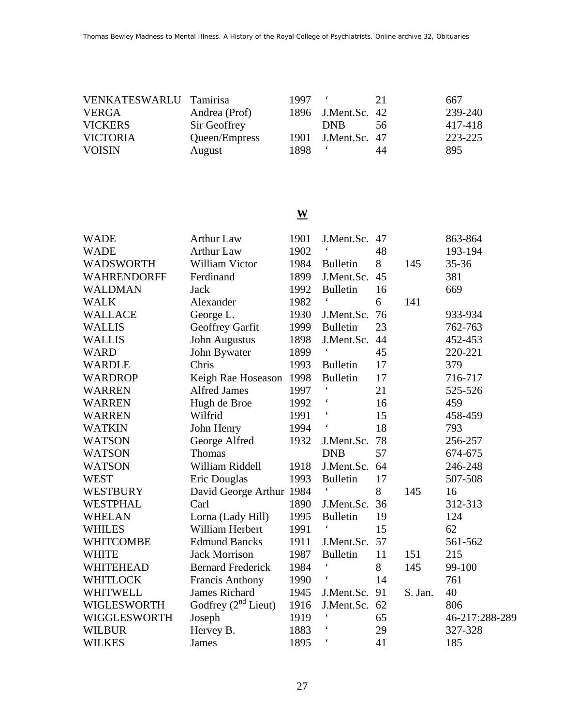| VENKATESWARLU Tamirisa |               | 1997 | $\bullet$          | 21  | 667     |
|------------------------|---------------|------|--------------------|-----|---------|
| <b>VERGA</b>           | Andrea (Prof) |      | 1896 J.Ment.Sc. 42 |     | 239-240 |
| <b>VICKERS</b>         | Sir Geoffrey  |      | <b>DNB</b>         | -56 | 417-418 |
| <b>VICTORIA</b>        | Queen/Empress |      | 1901 J.Ment.Sc. 47 |     | 223-225 |
| <b>VOISIN</b>          | August        | 1898 |                    | 44  | 895     |

### **W**

| <b>WADE</b>      | <b>Arthur Law</b>        | 1901 | J.Ment.Sc.           | 47 |         | 863-864        |
|------------------|--------------------------|------|----------------------|----|---------|----------------|
| <b>WADE</b>      | <b>Arthur Law</b>        | 1902 |                      | 48 |         | 193-194        |
| <b>WADSWORTH</b> | William Victor           | 1984 | <b>Bulletin</b>      | 8  | 145     | 35-36          |
| WAHRENDORFF      | Ferdinand                | 1899 | J.Ment.Sc.           | 45 |         | 381            |
| <b>WALDMAN</b>   | Jack                     | 1992 | <b>Bulletin</b>      | 16 |         | 669            |
| <b>WALK</b>      | Alexander                | 1982 |                      | 6  | 141     |                |
| <b>WALLACE</b>   | George L.                | 1930 | J.Ment.Sc.           | 76 |         | 933-934        |
| <b>WALLIS</b>    | Geoffrey Garfit          | 1999 | <b>Bulletin</b>      | 23 |         | 762-763        |
| <b>WALLIS</b>    | <b>John Augustus</b>     | 1898 | J.Ment.Sc.           | 44 |         | 452-453        |
| <b>WARD</b>      | John Bywater             | 1899 |                      | 45 |         | 220-221        |
| <b>WARDLE</b>    | Chris                    | 1993 | <b>Bulletin</b>      | 17 |         | 379            |
| <b>WARDROP</b>   | Keigh Rae Hoseason       | 1998 | <b>Bulletin</b>      | 17 |         | 716-717        |
| <b>WARREN</b>    | <b>Alfred James</b>      | 1997 |                      | 21 |         | 525-526        |
| <b>WARREN</b>    | Hugh de Broe             | 1992 |                      | 16 |         | 459            |
| <b>WARREN</b>    | Wilfrid                  | 1991 | $\pmb{\zeta}$        | 15 |         | 458-459        |
| <b>WATKIN</b>    | John Henry               | 1994 | $\boldsymbol{\zeta}$ | 18 |         | 793            |
| <b>WATSON</b>    | George Alfred            | 1932 | J.Ment.Sc.           | 78 |         | 256-257        |
| <b>WATSON</b>    | <b>Thomas</b>            |      | <b>DNB</b>           | 57 |         | 674-675        |
| <b>WATSON</b>    | William Riddell          | 1918 | J.Ment.Sc.           | 64 |         | 246-248        |
| <b>WEST</b>      | Eric Douglas             | 1993 | <b>Bulletin</b>      | 17 |         | 507-508        |
| <b>WESTBURY</b>  | David George Arthur 1984 |      |                      | 8  | 145     | 16             |
| WESTPHAL         | Carl                     | 1890 | J.Ment.Sc.           | 36 |         | 312-313        |
| <b>WHELAN</b>    | Lorna (Lady Hill)        | 1995 | <b>Bulletin</b>      | 19 |         | 124            |
| <b>WHILES</b>    | William Herbert          | 1991 |                      | 15 |         | 62             |
| WHITCOMBE        | <b>Edmund Bancks</b>     | 1911 | J.Ment.Sc.           | 57 |         | 561-562        |
| <b>WHITE</b>     | <b>Jack Morrison</b>     | 1987 | <b>Bulletin</b>      | 11 | 151     | 215            |
| WHITEHEAD        | <b>Bernard Frederick</b> | 1984 | $\pmb{\zeta}$        | 8  | 145     | 99-100         |
| WHITLOCK         | <b>Francis Anthony</b>   | 1990 | $\boldsymbol{\zeta}$ | 14 |         | 761            |
| WHITWELL         | <b>James Richard</b>     | 1945 | J.Ment.Sc.           | 91 | S. Jan. | 40             |
| WIGLESWORTH      | Godfrey $(2nd Lieut)$    | 1916 | J.Ment.Sc.           | 62 |         | 806            |
| WIGGLESWORTH     | Joseph                   | 1919 | $\pmb{\zeta}$        | 65 |         | 46-217:288-289 |
| WILBUR           | Hervey B.                | 1883 |                      | 29 |         | 327-328        |
| <b>WILKES</b>    | James                    | 1895 | $\pmb{\zeta}$        | 41 |         | 185            |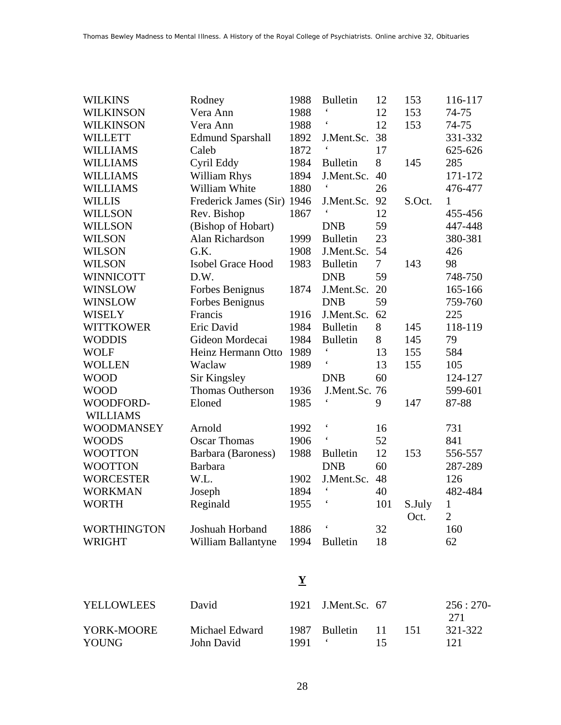| <b>WILKINS</b>     | Rodney                   | 1988 | <b>Bulletin</b>      | 12             | 153    | 116-117        |
|--------------------|--------------------------|------|----------------------|----------------|--------|----------------|
| <b>WILKINSON</b>   | Vera Ann                 | 1988 | $\boldsymbol{\zeta}$ | 12             | 153    | 74-75          |
| <b>WILKINSON</b>   | Vera Ann                 | 1988 | $\pmb{\zeta}$        | 12             | 153    | 74-75          |
| <b>WILLETT</b>     | <b>Edmund Sparshall</b>  | 1892 | J.Ment.Sc.           | 38             |        | 331-332        |
| <b>WILLIAMS</b>    | Caleb                    | 1872 | $\pmb{\zeta}$        | 17             |        | 625-626        |
| <b>WILLIAMS</b>    | Cyril Eddy               | 1984 | <b>Bulletin</b>      | 8              | 145    | 285            |
| <b>WILLIAMS</b>    | <b>William Rhys</b>      | 1894 | J.Ment.Sc.           | 40             |        | 171-172        |
| <b>WILLIAMS</b>    | William White            | 1880 |                      | 26             |        | 476-477        |
| <b>WILLIS</b>      | Frederick James (Sir)    | 1946 | J.Ment.Sc.           | 92             | S.Oct. | 1              |
| <b>WILLSON</b>     | Rev. Bishop              | 1867 |                      | 12             |        | 455-456        |
| <b>WILLSON</b>     | (Bishop of Hobart)       |      | <b>DNB</b>           | 59             |        | 447-448        |
| <b>WILSON</b>      | Alan Richardson          | 1999 | <b>Bulletin</b>      | 23             |        | 380-381        |
| <b>WILSON</b>      | G.K.                     | 1908 | J.Ment.Sc.           | 54             |        | 426            |
| <b>WILSON</b>      | <b>Isobel Grace Hood</b> | 1983 | <b>Bulletin</b>      | $\overline{7}$ | 143    | 98             |
| <b>WINNICOTT</b>   | D.W.                     |      | <b>DNB</b>           | 59             |        | 748-750        |
| <b>WINSLOW</b>     | Forbes Benignus          | 1874 | J.Ment.Sc.           | 20             |        | 165-166        |
| <b>WINSLOW</b>     | Forbes Benignus          |      | <b>DNB</b>           | 59             |        | 759-760        |
| <b>WISELY</b>      | Francis                  | 1916 | J.Ment.Sc.           | 62             |        | 225            |
| <b>WITTKOWER</b>   | Eric David               | 1984 | <b>Bulletin</b>      | 8              | 145    | 118-119        |
| <b>WODDIS</b>      | Gideon Mordecai          | 1984 | <b>Bulletin</b>      | 8              | 145    | 79             |
| <b>WOLF</b>        | Heinz Hermann Otto       | 1989 |                      | 13             | 155    | 584            |
| <b>WOLLEN</b>      | Waclaw                   | 1989 | $\epsilon$           | 13             | 155    | 105            |
| <b>WOOD</b>        | Sir Kingsley             |      | <b>DNB</b>           | 60             |        | 124-127        |
| <b>WOOD</b>        | Thomas Outherson         | 1936 | J.Ment.Sc. 76        |                |        | 599-601        |
| WOODFORD-          | Eloned                   | 1985 | $\pmb{\zeta}$        | 9              | 147    | 87-88          |
| <b>WILLIAMS</b>    |                          |      |                      |                |        |                |
| <b>WOODMANSEY</b>  | Arnold                   | 1992 | $\boldsymbol{\zeta}$ | 16             |        | 731            |
| <b>WOODS</b>       | <b>Oscar Thomas</b>      | 1906 | $\pmb{\zeta}$        | 52             |        | 841            |
| <b>WOOTTON</b>     | Barbara (Baroness)       | 1988 | <b>Bulletin</b>      | 12             | 153    | 556-557        |
| <b>WOOTTON</b>     | <b>Barbara</b>           |      | <b>DNB</b>           | 60             |        | 287-289        |
| <b>WORCESTER</b>   | W.L.                     | 1902 | J.Ment.Sc.           | 48             |        | 126            |
| <b>WORKMAN</b>     | Joseph                   | 1894 |                      | 40             |        | 482-484        |
| <b>WORTH</b>       | Reginald                 | 1955 |                      | 101            | S.July | $\mathbf{1}$   |
|                    |                          |      |                      |                | Oct.   | $\overline{2}$ |
| <b>WORTHINGTON</b> | Joshuah Horband          | 1886 | $\pmb{\zeta}$        | 32             |        | 160            |
| <b>WRIGHT</b>      | William Ballantyne       | 1994 | <b>Bulletin</b>      | 18             |        | 62             |

# **Y**

| <b>YELLOWLEES</b>   | David                        |      | 1921 J.Ment.Sc. 67 |          |      | $256:270-$<br>271 |
|---------------------|------------------------------|------|--------------------|----------|------|-------------------|
| YORK-MOORE<br>YOUNG | Michael Edward<br>John David | 1991 | 1987 Bulletin      | 11<br>15 | -151 | 321-322<br>121    |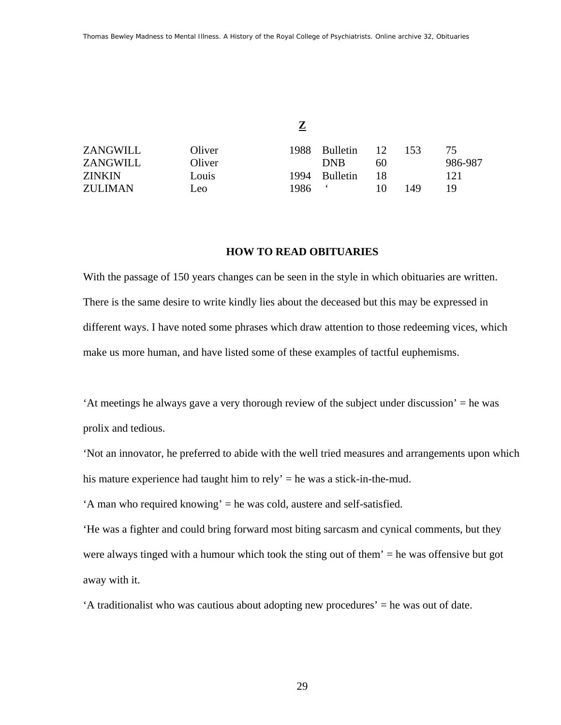**Z**

| ZANGWILL      | Oliver | 1988. | <b>Bulletin</b> | 12 | 153 | 75.     |
|---------------|--------|-------|-----------------|----|-----|---------|
| ZANGWILL      | Oliver |       | DNB             | 60 |     | 986-987 |
| <b>ZINKIN</b> | Louis  | 1994. | <b>Bulletin</b> | 18 |     | 121     |
| ZULIMAN       | Leo.   | 1986  |                 |    | 149 | 19.     |

#### **HOW TO READ OBITUARIES**

With the passage of 150 years changes can be seen in the style in which obituaries are written. There is the same desire to write kindly lies about the deceased but this may be expressed in different ways. I have noted some phrases which draw attention to those redeeming vices, which make us more human, and have listed some of these examples of tactful euphemisms.

'At meetings he always gave a very thorough review of the subject under discussion' = he was prolix and tedious.

'Not an innovator, he preferred to abide with the well tried measures and arrangements upon which his mature experience had taught him to rely' = he was a stick-in-the-mud.

'A man who required knowing' = he was cold, austere and self-satisfied.

'He was a fighter and could bring forward most biting sarcasm and cynical comments, but they were always tinged with a humour which took the sting out of them' = he was offensive but got away with it.

'A traditionalist who was cautious about adopting new procedures' = he was out of date.